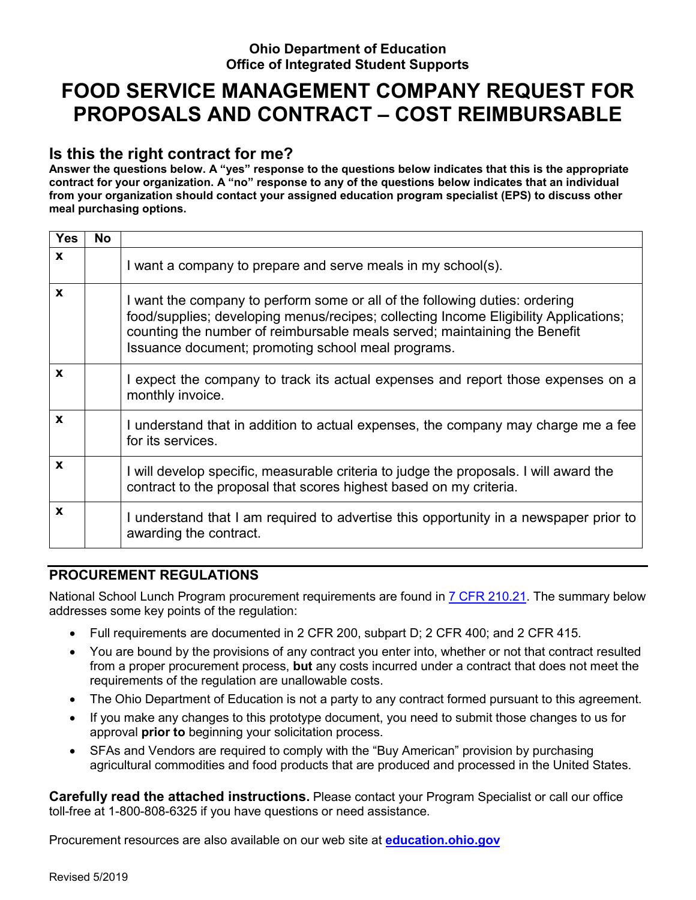#### **Ohio Department of Education Office of Integrated Student Supports**

## **FOOD SERVICE MANAGEMENT COMPANY REQUEST FOR PROPOSALS AND CONTRACT – COST REIMBURSABLE**

#### **Is this the right contract for me?**

**Answer the questions below. A "yes" response to the questions below indicates that this is the appropriate contract for your organization. A "no" response to any of the questions below indicates that an individual from your organization should contact your assigned education program specialist (EPS) to discuss other meal purchasing options.** 

| <b>Yes</b> | <b>No</b> |                                                                                                                                                                                                                                                                                                        |
|------------|-----------|--------------------------------------------------------------------------------------------------------------------------------------------------------------------------------------------------------------------------------------------------------------------------------------------------------|
| X          |           | I want a company to prepare and serve meals in my school(s).                                                                                                                                                                                                                                           |
| X          |           | I want the company to perform some or all of the following duties: ordering<br>food/supplies; developing menus/recipes; collecting Income Eligibility Applications;<br>counting the number of reimbursable meals served; maintaining the Benefit<br>Issuance document; promoting school meal programs. |
| X          |           | I expect the company to track its actual expenses and report those expenses on a<br>monthly invoice.                                                                                                                                                                                                   |
| X          |           | I understand that in addition to actual expenses, the company may charge me a fee<br>for its services.                                                                                                                                                                                                 |
| X          |           | I will develop specific, measurable criteria to judge the proposals. I will award the<br>contract to the proposal that scores highest based on my criteria.                                                                                                                                            |
| X          |           | I understand that I am required to advertise this opportunity in a newspaper prior to<br>awarding the contract.                                                                                                                                                                                        |

#### **PROCUREMENT REGULATIONS**

National School Lunch Program procurement requirements are found in 7 CFR 210.21. The summary below addresses some key points of the regulation:

- Full requirements are documented in 2 CFR 200, subpart D; 2 CFR 400; and 2 CFR 415.
- You are bound by the provisions of any contract you enter into, whether or not that contract resulted from a proper procurement process, **but** any costs incurred under a contract that does not meet the requirements of the regulation are unallowable costs.
- The Ohio Department of Education is not a party to any contract formed pursuant to this agreement.
- If you make any changes to this prototype document, you need to submit those changes to us for approval **prior to** beginning your solicitation process.
- SFAs and Vendors are required to comply with the "Buy American" provision by purchasing agricultural commodities and food products that are produced and processed in the United States.

**Carefully read the attached instructions.** Please contact your Program Specialist or call our office toll-free at 1-800-808-6325 if you have questions or need assistance.

Procurement resources are also available on our web site at **education.ohio.gov**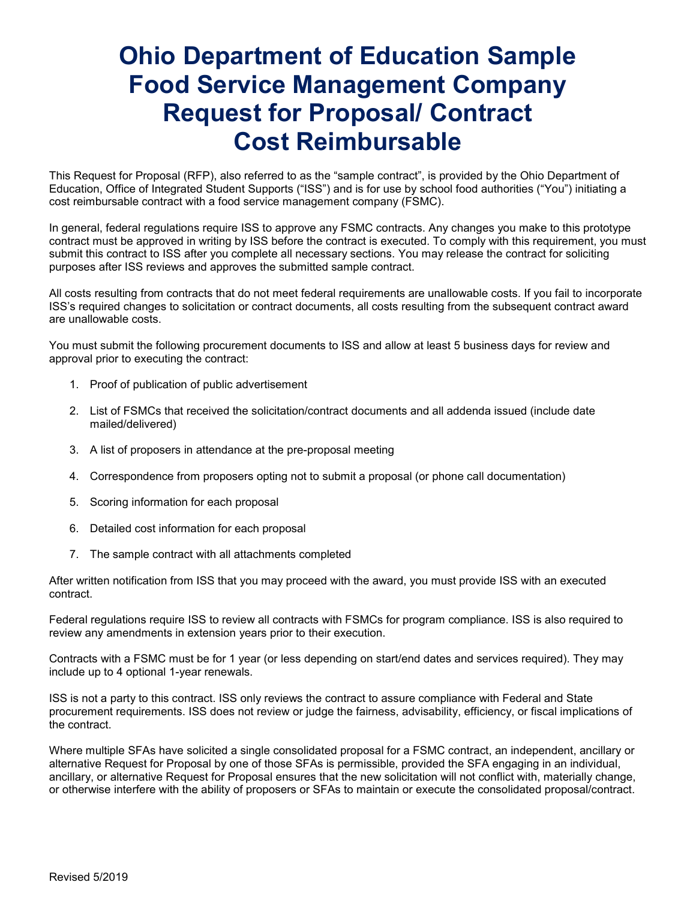## **Ohio Department of Education Sample Food Service Management Company Request for Proposal/ Contract Cost Reimbursable**

This Request for Proposal (RFP), also referred to as the "sample contract", is provided by the Ohio Department of Education, Office of Integrated Student Supports ("ISS") and is for use by school food authorities ("You") initiating a cost reimbursable contract with a food service management company (FSMC).

In general, federal regulations require ISS to approve any FSMC contracts. Any changes you make to this prototype contract must be approved in writing by ISS before the contract is executed. To comply with this requirement, you must submit this contract to ISS after you complete all necessary sections. You may release the contract for soliciting purposes after ISS reviews and approves the submitted sample contract.

All costs resulting from contracts that do not meet federal requirements are unallowable costs. If you fail to incorporate ISS's required changes to solicitation or contract documents, all costs resulting from the subsequent contract award are unallowable costs.

You must submit the following procurement documents to ISS and allow at least 5 business days for review and approval prior to executing the contract:

- 1. Proof of publication of public advertisement
- 2. List of FSMCs that received the solicitation/contract documents and all addenda issued (include date mailed/delivered)
- 3. A list of proposers in attendance at the pre-proposal meeting
- 4. Correspondence from proposers opting not to submit a proposal (or phone call documentation)
- 5. Scoring information for each proposal
- 6. Detailed cost information for each proposal
- 7. The sample contract with all attachments completed

After written notification from ISS that you may proceed with the award, you must provide ISS with an executed contract.

Federal regulations require ISS to review all contracts with FSMCs for program compliance. ISS is also required to review any amendments in extension years prior to their execution.

Contracts with a FSMC must be for 1 year (or less depending on start/end dates and services required). They may include up to 4 optional 1-year renewals.

ISS is not a party to this contract. ISS only reviews the contract to assure compliance with Federal and State procurement requirements. ISS does not review or judge the fairness, advisability, efficiency, or fiscal implications of the contract.

Where multiple SFAs have solicited a single consolidated proposal for a FSMC contract, an independent, ancillary or alternative Request for Proposal by one of those SFAs is permissible, provided the SFA engaging in an individual, ancillary, or alternative Request for Proposal ensures that the new solicitation will not conflict with, materially change, or otherwise interfere with the ability of proposers or SFAs to maintain or execute the consolidated proposal/contract.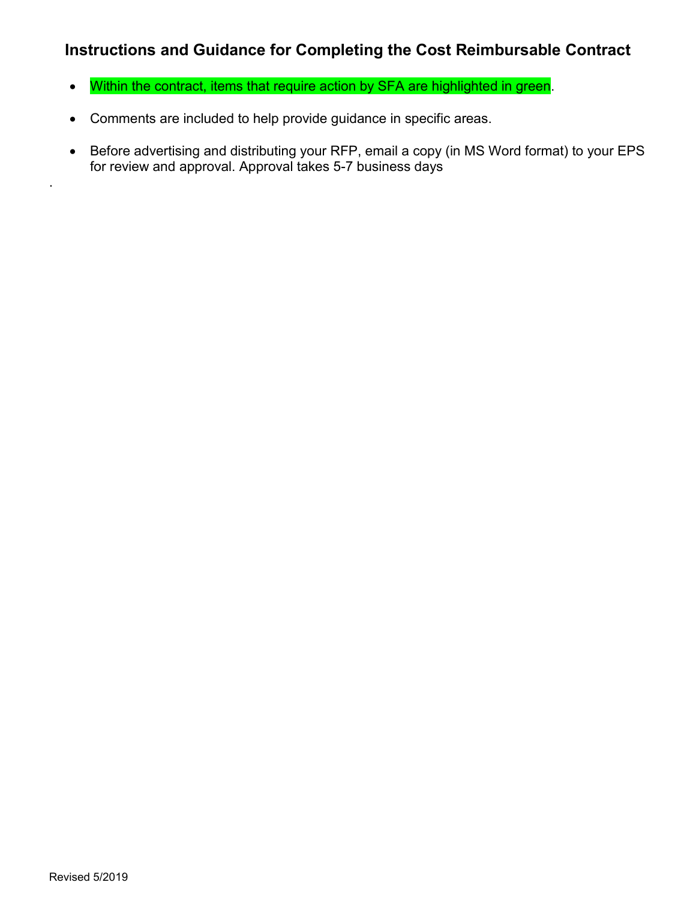#### **Instructions and Guidance for Completing the Cost Reimbursable Contract**

- Within the contract, items that require action by SFA are highlighted in green.
- Comments are included to help provide guidance in specific areas.
- Before advertising and distributing your RFP, email a copy (in MS Word format) to your EPS for review and approval. Approval takes 5-7 business days

.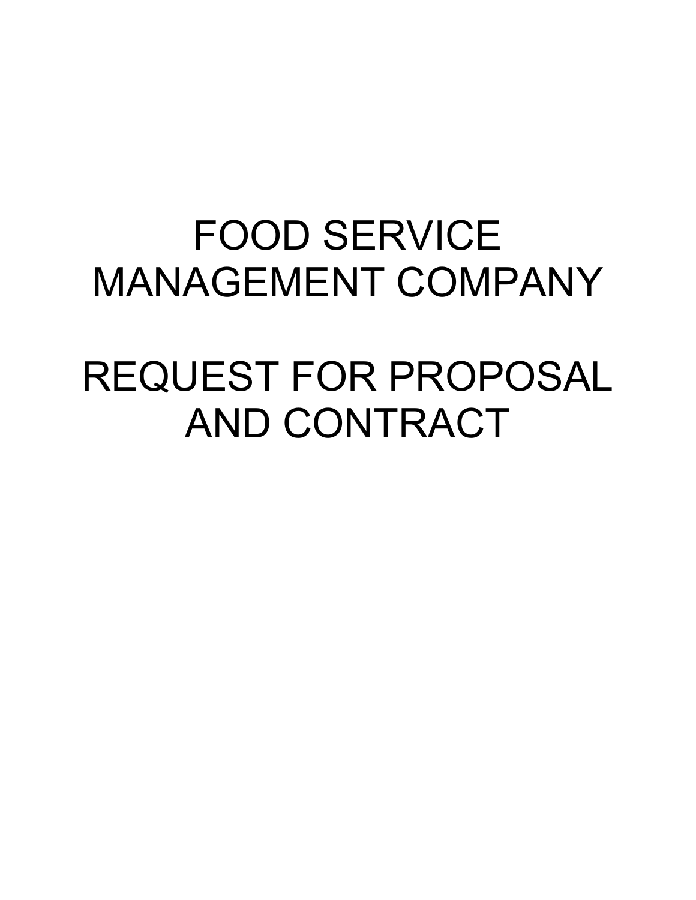## FOOD SERVICE MANAGEMENT COMPANY

## REQUEST FOR PROPOSAL AND CONTRACT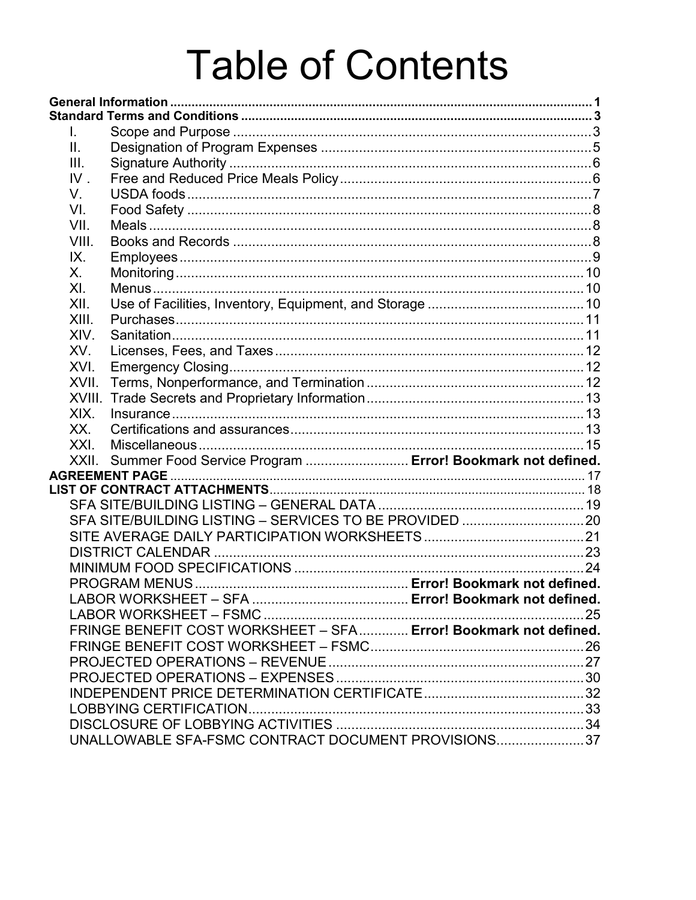# **Table of Contents**

| L.     |                                                                  |  |
|--------|------------------------------------------------------------------|--|
| П.     |                                                                  |  |
| III.   |                                                                  |  |
| $IV$ . |                                                                  |  |
| V.     |                                                                  |  |
| VI.    |                                                                  |  |
| VII.   |                                                                  |  |
| VIII.  |                                                                  |  |
| IX.    |                                                                  |  |
| Х.     |                                                                  |  |
| XI.    |                                                                  |  |
| XII.   |                                                                  |  |
| XIII.  |                                                                  |  |
| XIV.   |                                                                  |  |
| XV.    |                                                                  |  |
| XVI.   |                                                                  |  |
| XVII.  |                                                                  |  |
| XVIII. |                                                                  |  |
| XIX.   |                                                                  |  |
| XX.    |                                                                  |  |
| XXI.   |                                                                  |  |
|        | XXII. Summer Food Service Program  Error! Bookmark not defined.  |  |
|        | <b>AGREEMENT PAGE</b>                                            |  |
|        |                                                                  |  |
|        |                                                                  |  |
|        |                                                                  |  |
|        |                                                                  |  |
|        |                                                                  |  |
|        |                                                                  |  |
|        |                                                                  |  |
|        |                                                                  |  |
|        |                                                                  |  |
|        | FRINGE BENEFIT COST WORKSHEET - SFA Error! Bookmark not defined. |  |
|        |                                                                  |  |
|        |                                                                  |  |
|        |                                                                  |  |
|        |                                                                  |  |
|        |                                                                  |  |
|        |                                                                  |  |
|        | UNALLOWABLE SFA-FSMC CONTRACT DOCUMENT PROVISIONS37              |  |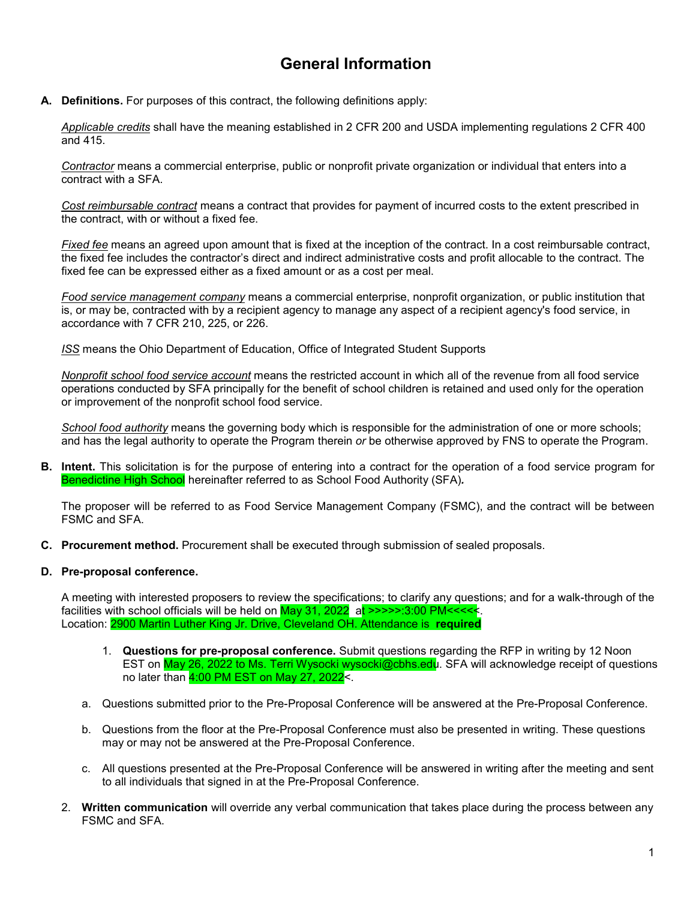## **General Information**

**A. Definitions.** For purposes of this contract, the following definitions apply:

*Applicable credits* shall have the meaning established in 2 CFR 200 and USDA implementing regulations 2 CFR 400 and 415.

*Contractor* means a commercial enterprise, public or nonprofit private organization or individual that enters into a contract with a SFA.

*Cost reimbursable contract* means a contract that provides for payment of incurred costs to the extent prescribed in the contract, with or without a fixed fee.

*Fixed fee* means an agreed upon amount that is fixed at the inception of the contract. In a cost reimbursable contract, the fixed fee includes the contractor's direct and indirect administrative costs and profit allocable to the contract. The fixed fee can be expressed either as a fixed amount or as a cost per meal.

*Food service management company* means a commercial enterprise, nonprofit organization, or public institution that is, or may be, contracted with by a recipient agency to manage any aspect of a recipient agency's food service, in accordance with 7 CFR 210, 225, or 226.

*ISS* means the Ohio Department of Education, Office of Integrated Student Supports

*Nonprofit school food service account* means the restricted account in which all of the revenue from all food service operations conducted by SFA principally for the benefit of school children is retained and used only for the operation or improvement of the nonprofit school food service.

*School food authority* means the governing body which is responsible for the administration of one or more schools; and has the legal authority to operate the Program therein *or* be otherwise approved by FNS to operate the Program.

**B. Intent.** This solicitation is for the purpose of entering into a contract for the operation of a food service program for Benedictine High School hereinafter referred to as School Food Authority (SFA)*.*

The proposer will be referred to as Food Service Management Company (FSMC), and the contract will be between FSMC and SFA.

**C. Procurement method.** Procurement shall be executed through submission of sealed proposals.

#### **D. Pre-proposal conference.**

A meeting with interested proposers to review the specifications; to clarify any questions; and for a walk-through of the facilities with school officials will be held on  $May 31$ , 2022 at  $\geq$   $\geq$   $\geq$   $\geq$   $\geq$   $\geq$   $\leq$   $\leq$   $\leq$   $\leq$ Location: 2900 Martin Luther King Jr. Drive, Cleveland OH. Attendance is **required**

- 1. **Questions for pre-proposal conference.** Submit questions regarding the RFP in writing by 12 Noon EST on May 26, 2022 to Ms. Terri Wysocki wysocki@cbhs.edu. SFA will acknowledge receipt of questions no later than 4:00 PM EST on May 27, 2022<.
- a. Questions submitted prior to the Pre-Proposal Conference will be answered at the Pre-Proposal Conference.
- b. Questions from the floor at the Pre-Proposal Conference must also be presented in writing. These questions may or may not be answered at the Pre-Proposal Conference.
- c. All questions presented at the Pre-Proposal Conference will be answered in writing after the meeting and sent to all individuals that signed in at the Pre-Proposal Conference.
- 2. **Written communication** will override any verbal communication that takes place during the process between any FSMC and SFA.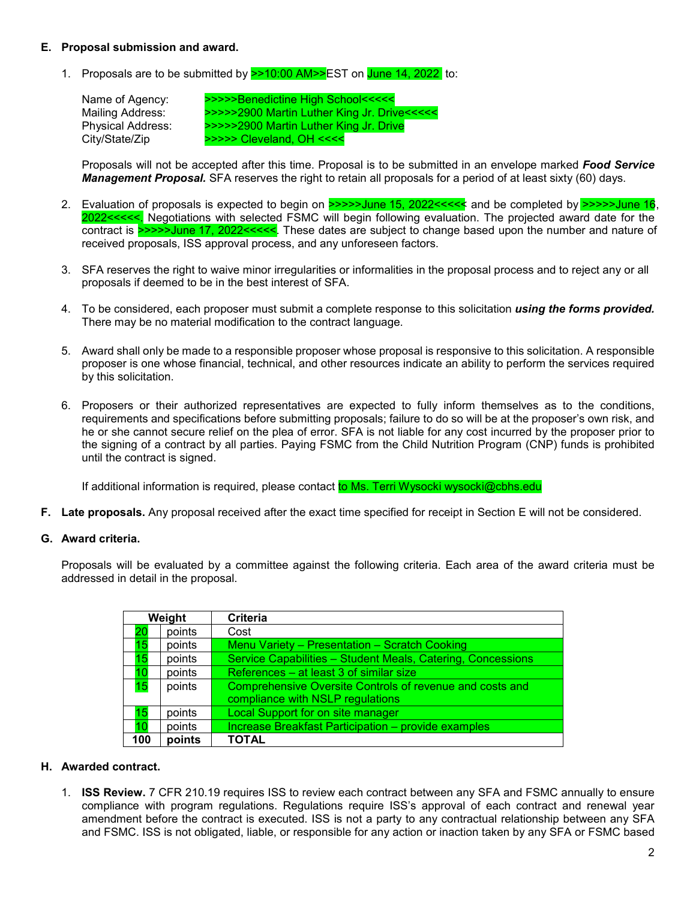#### **E. Proposal submission and award.**

1. Proposals are to be submitted by  $\geq$  10:00 AM  $\geq$  EST on June 14, 2022 to:

Name of Agency: >>>>>>>Benedictine High School<<<<<br>Mailing Address: >>>>>>2900 Martin Luther King Jr. Drive Mailing Address: >>>>>2900 Martin Luther King Jr. Drive<<<<< >>>>>2900 Martin Luther King Jr. Drive City/State/Zip >>>>> Cleveland, OH <<<<

Proposals will not be accepted after this time. Proposal is to be submitted in an envelope marked *Food Service Management Proposal.* SFA reserves the right to retain all proposals for a period of at least sixty (60) days.

- 2. Evaluation of proposals is expected to begin on >>>>>June 15, 2022<<<<< and be completed by >>>>>June 16, 2022<<<<. Negotiations with selected FSMC will begin following evaluation. The projected award date for the contract is **>>>>>June 17, 2022<<<<<**. These dates are subject to change based upon the number and nature of received proposals, ISS approval process, and any unforeseen factors.
- 3. SFA reserves the right to waive minor irregularities or informalities in the proposal process and to reject any or all proposals if deemed to be in the best interest of SFA.
- 4. To be considered, each proposer must submit a complete response to this solicitation *using the forms provided.* There may be no material modification to the contract language.
- 5. Award shall only be made to a responsible proposer whose proposal is responsive to this solicitation. A responsible proposer is one whose financial, technical, and other resources indicate an ability to perform the services required by this solicitation.
- 6. Proposers or their authorized representatives are expected to fully inform themselves as to the conditions, requirements and specifications before submitting proposals; failure to do so will be at the proposer's own risk, and he or she cannot secure relief on the plea of error. SFA is not liable for any cost incurred by the proposer prior to the signing of a contract by all parties. Paying FSMC from the Child Nutrition Program (CNP) funds is prohibited until the contract is signed.

If additional information is required, please contact to Ms. Terri Wysocki wysocki@cbhs.edu

**F. Late proposals.** Any proposal received after the exact time specified for receipt in Section E will not be considered.

#### **G. Award criteria.**

Proposals will be evaluated by a committee against the following criteria. Each area of the award criteria must be addressed in detail in the proposal.

| Weight |        | Criteria                                                    |
|--------|--------|-------------------------------------------------------------|
| 20     | points | Cost                                                        |
| 15     | points | Menu Variety - Presentation - Scratch Cooking               |
| 15     | points | Service Capabilities - Student Meals, Catering, Concessions |
|        | points | References – at least 3 of similar size                     |
| 15     | points | Comprehensive Oversite Controls of revenue and costs and    |
|        |        | compliance with NSLP regulations                            |
| 15     | points | Local Support for on site manager                           |
| 10     | points | Increase Breakfast Participation - provide examples         |
| 100    | points | <b>TOTAL</b>                                                |

#### **H. Awarded contract.**

1. **ISS Review.** 7 CFR 210.19 requires ISS to review each contract between any SFA and FSMC annually to ensure compliance with program regulations. Regulations require ISS's approval of each contract and renewal year amendment before the contract is executed. ISS is not a party to any contractual relationship between any SFA and FSMC. ISS is not obligated, liable, or responsible for any action or inaction taken by any SFA or FSMC based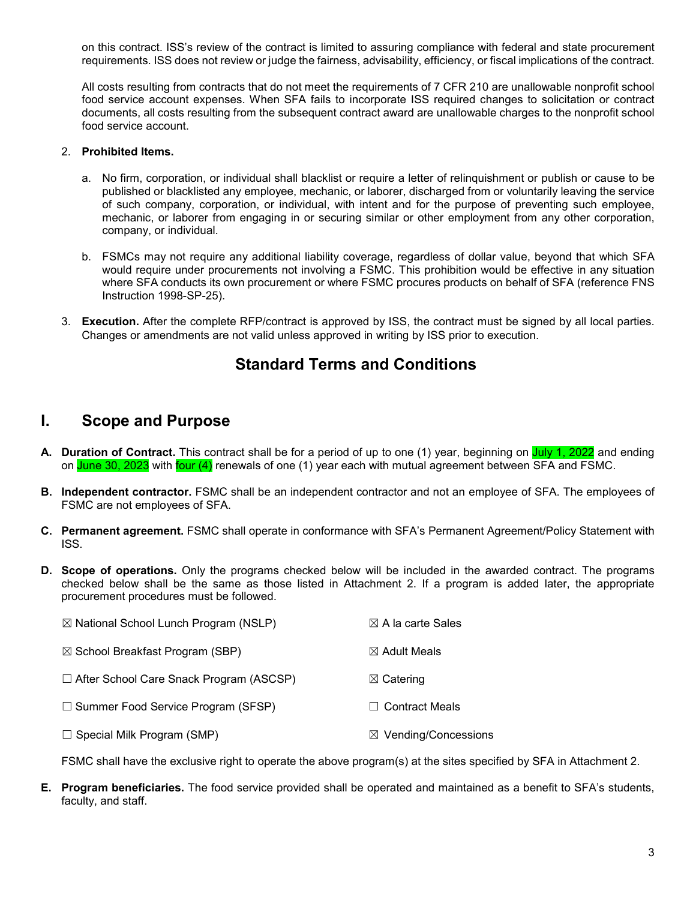on this contract. ISS's review of the contract is limited to assuring compliance with federal and state procurement requirements. ISS does not review or judge the fairness, advisability, efficiency, or fiscal implications of the contract.

All costs resulting from contracts that do not meet the requirements of 7 CFR 210 are unallowable nonprofit school food service account expenses. When SFA fails to incorporate ISS required changes to solicitation or contract documents, all costs resulting from the subsequent contract award are unallowable charges to the nonprofit school food service account.

#### 2. **Prohibited Items.**

- a. No firm, corporation, or individual shall blacklist or require a letter of relinquishment or publish or cause to be published or blacklisted any employee, mechanic, or laborer, discharged from or voluntarily leaving the service of such company, corporation, or individual, with intent and for the purpose of preventing such employee, mechanic, or laborer from engaging in or securing similar or other employment from any other corporation, company, or individual.
- b. FSMCs may not require any additional liability coverage, regardless of dollar value, beyond that which SFA would require under procurements not involving a FSMC. This prohibition would be effective in any situation where SFA conducts its own procurement or where FSMC procures products on behalf of SFA (reference FNS Instruction 1998-SP-25).
- 3. **Execution.** After the complete RFP/contract is approved by ISS, the contract must be signed by all local parties. Changes or amendments are not valid unless approved in writing by ISS prior to execution.

#### **Standard Terms and Conditions**

#### **I. Scope and Purpose**

- **A. Duration of Contract.** This contract shall be for a period of up to one (1) year, beginning on July 1, 2022 and ending on June 30, 2023 with four (4) renewals of one (1) year each with mutual agreement between SFA and FSMC.
- **B. Independent contractor.** FSMC shall be an independent contractor and not an employee of SFA. The employees of FSMC are not employees of SFA.
- **C. Permanent agreement.** FSMC shall operate in conformance with SFA's Permanent Agreement/Policy Statement with ISS.
- **D. Scope of operations.** Only the programs checked below will be included in the awarded contract. The programs checked below shall be the same as those listed in Attachment 2. If a program is added later, the appropriate procurement procedures must be followed.
	- $\boxtimes$  National School Lunch Program (NSLP)  $\boxtimes$  A la carte Sales ☒ School Breakfast Program (SBP) ☒ Adult Meals ☐ After School Care Snack Program (ASCSP) ☒ Catering ☐ Summer Food Service Program (SFSP) ☐ Contract Meals
	- ☐ Special Milk Program (SMP) ☒ Vending/Concessions

FSMC shall have the exclusive right to operate the above program(s) at the sites specified by SFA in Attachment 2.

**E. Program beneficiaries.** The food service provided shall be operated and maintained as a benefit to SFA's students, faculty, and staff.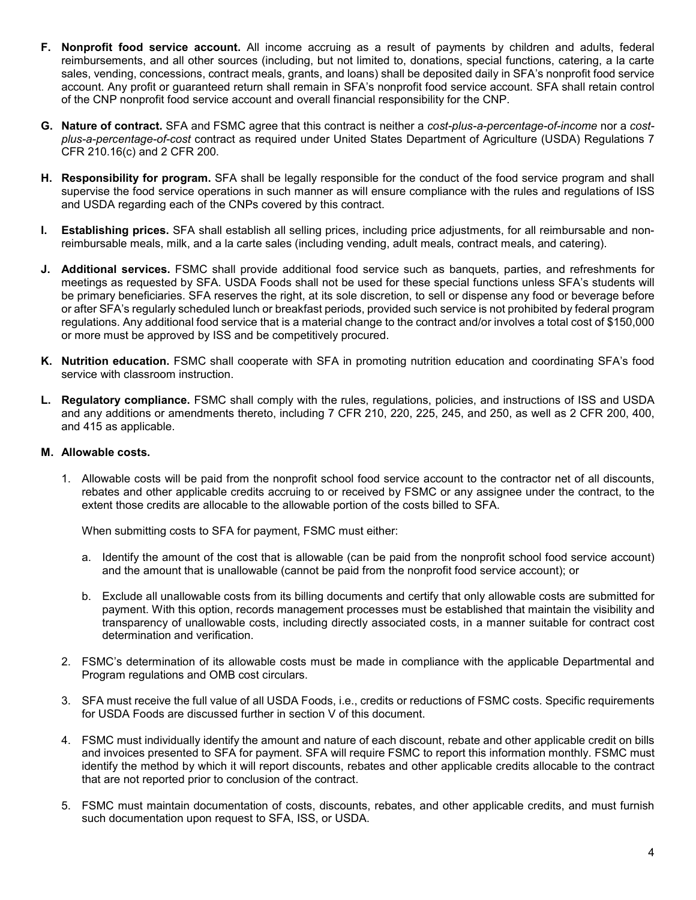- **F. Nonprofit food service account.** All income accruing as a result of payments by children and adults, federal reimbursements, and all other sources (including, but not limited to, donations, special functions, catering, a la carte sales, vending, concessions, contract meals, grants, and loans) shall be deposited daily in SFA's nonprofit food service account. Any profit or guaranteed return shall remain in SFA's nonprofit food service account. SFA shall retain control of the CNP nonprofit food service account and overall financial responsibility for the CNP.
- **G. Nature of contract.** SFA and FSMC agree that this contract is neither a *cost-plus-a-percentage-of-income* nor a *costplus-a-percentage-of-cost* contract as required under United States Department of Agriculture (USDA) Regulations 7 CFR 210.16(c) and 2 CFR 200.
- **H. Responsibility for program.** SFA shall be legally responsible for the conduct of the food service program and shall supervise the food service operations in such manner as will ensure compliance with the rules and regulations of ISS and USDA regarding each of the CNPs covered by this contract.
- **I. Establishing prices.** SFA shall establish all selling prices, including price adjustments, for all reimbursable and nonreimbursable meals, milk, and a la carte sales (including vending, adult meals, contract meals, and catering).
- **J. Additional services.** FSMC shall provide additional food service such as banquets, parties, and refreshments for meetings as requested by SFA. USDA Foods shall not be used for these special functions unless SFA's students will be primary beneficiaries. SFA reserves the right, at its sole discretion, to sell or dispense any food or beverage before or after SFA's regularly scheduled lunch or breakfast periods, provided such service is not prohibited by federal program regulations. Any additional food service that is a material change to the contract and/or involves a total cost of \$150,000 or more must be approved by ISS and be competitively procured.
- **K. Nutrition education.** FSMC shall cooperate with SFA in promoting nutrition education and coordinating SFA's food service with classroom instruction.
- **L. Regulatory compliance.** FSMC shall comply with the rules, regulations, policies, and instructions of ISS and USDA and any additions or amendments thereto, including 7 CFR 210, 220, 225, 245, and 250, as well as 2 CFR 200, 400, and 415 as applicable.

#### **M. Allowable costs.**

1. Allowable costs will be paid from the nonprofit school food service account to the contractor net of all discounts, rebates and other applicable credits accruing to or received by FSMC or any assignee under the contract, to the extent those credits are allocable to the allowable portion of the costs billed to SFA.

When submitting costs to SFA for payment, FSMC must either:

- a. Identify the amount of the cost that is allowable (can be paid from the nonprofit school food service account) and the amount that is unallowable (cannot be paid from the nonprofit food service account); or
- b. Exclude all unallowable costs from its billing documents and certify that only allowable costs are submitted for payment. With this option, records management processes must be established that maintain the visibility and transparency of unallowable costs, including directly associated costs, in a manner suitable for contract cost determination and verification.
- 2. FSMC's determination of its allowable costs must be made in compliance with the applicable Departmental and Program regulations and OMB cost circulars.
- 3. SFA must receive the full value of all USDA Foods, i.e., credits or reductions of FSMC costs. Specific requirements for USDA Foods are discussed further in section V of this document.
- 4. FSMC must individually identify the amount and nature of each discount, rebate and other applicable credit on bills and invoices presented to SFA for payment. SFA will require FSMC to report this information monthly. FSMC must identify the method by which it will report discounts, rebates and other applicable credits allocable to the contract that are not reported prior to conclusion of the contract.
- 5. FSMC must maintain documentation of costs, discounts, rebates, and other applicable credits, and must furnish such documentation upon request to SFA, ISS, or USDA.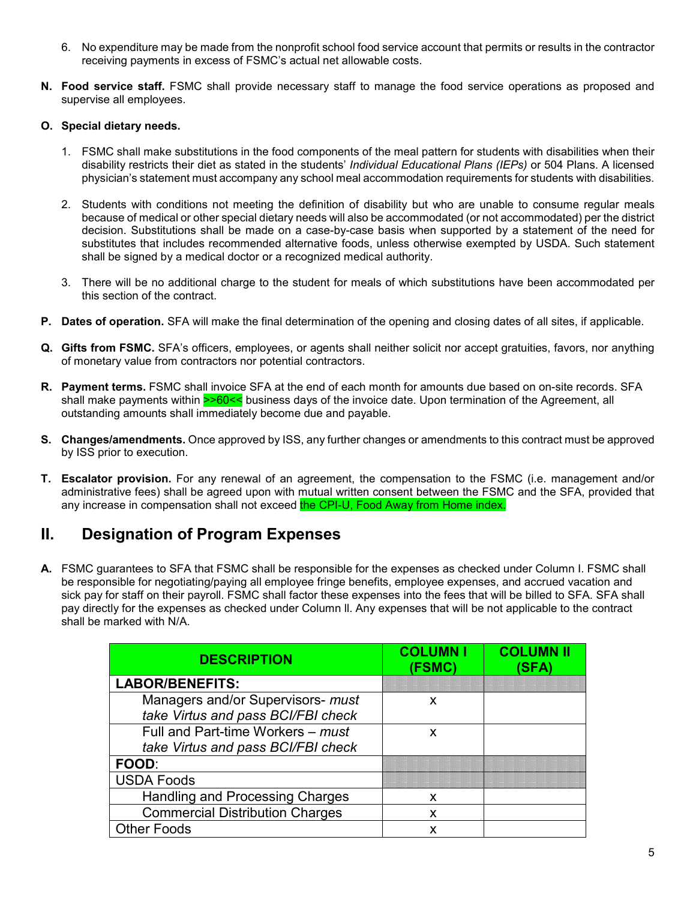- 6. No expenditure may be made from the nonprofit school food service account that permits or results in the contractor receiving payments in excess of FSMC's actual net allowable costs.
- **N. Food service staff.** FSMC shall provide necessary staff to manage the food service operations as proposed and supervise all employees.

#### **O. Special dietary needs.**

- 1. FSMC shall make substitutions in the food components of the meal pattern for students with disabilities when their disability restricts their diet as stated in the students' *Individual Educational Plans (IEPs)* or 504 Plans. A licensed physician's statement must accompany any school meal accommodation requirements for students with disabilities.
- 2. Students with conditions not meeting the definition of disability but who are unable to consume regular meals because of medical or other special dietary needs will also be accommodated (or not accommodated) per the district decision. Substitutions shall be made on a case-by-case basis when supported by a statement of the need for substitutes that includes recommended alternative foods, unless otherwise exempted by USDA. Such statement shall be signed by a medical doctor or a recognized medical authority.
- 3. There will be no additional charge to the student for meals of which substitutions have been accommodated per this section of the contract.
- **P. Dates of operation.** SFA will make the final determination of the opening and closing dates of all sites, if applicable.
- **Q. Gifts from FSMC.** SFA's officers, employees, or agents shall neither solicit nor accept gratuities, favors, nor anything of monetary value from contractors nor potential contractors.
- **R. Payment terms.** FSMC shall invoice SFA at the end of each month for amounts due based on on-site records. SFA shall make payments within >>60<< business days of the invoice date. Upon termination of the Agreement, all outstanding amounts shall immediately become due and payable.
- **S. Changes/amendments.** Once approved by ISS, any further changes or amendments to this contract must be approved by ISS prior to execution.
- **T. Escalator provision.** For any renewal of an agreement, the compensation to the FSMC (i.e. management and/or administrative fees) shall be agreed upon with mutual written consent between the FSMC and the SFA, provided that any increase in compensation shall not exceed the CPI-U, Food Away from Home index.

#### **II. Designation of Program Expenses**

**A.** FSMC guarantees to SFA that FSMC shall be responsible for the expenses as checked under Column I. FSMC shall be responsible for negotiating/paying all employee fringe benefits, employee expenses, and accrued vacation and sick pay for staff on their payroll. FSMC shall factor these expenses into the fees that will be billed to SFA. SFA shall pay directly for the expenses as checked under Column ll. Any expenses that will be not applicable to the contract shall be marked with N/A.

| <b>DESCRIPTION</b>                                                      | <b>COLUMN I</b><br>(FSMC) | <b>COLUMN I</b><br>(SFA) |
|-------------------------------------------------------------------------|---------------------------|--------------------------|
| <b>LABOR/BENEFITS:</b>                                                  |                           |                          |
| Managers and/or Supervisors- must<br>take Virtus and pass BCI/FBI check | X                         |                          |
| Full and Part-time Workers - must<br>take Virtus and pass BCI/FBI check | X                         |                          |
| <b>FOOD:</b>                                                            |                           |                          |
| <b>USDA Foods</b>                                                       |                           |                          |
| <b>Handling and Processing Charges</b>                                  | X                         |                          |
| <b>Commercial Distribution Charges</b>                                  | X                         |                          |
| <b>Other Foods</b>                                                      | x                         |                          |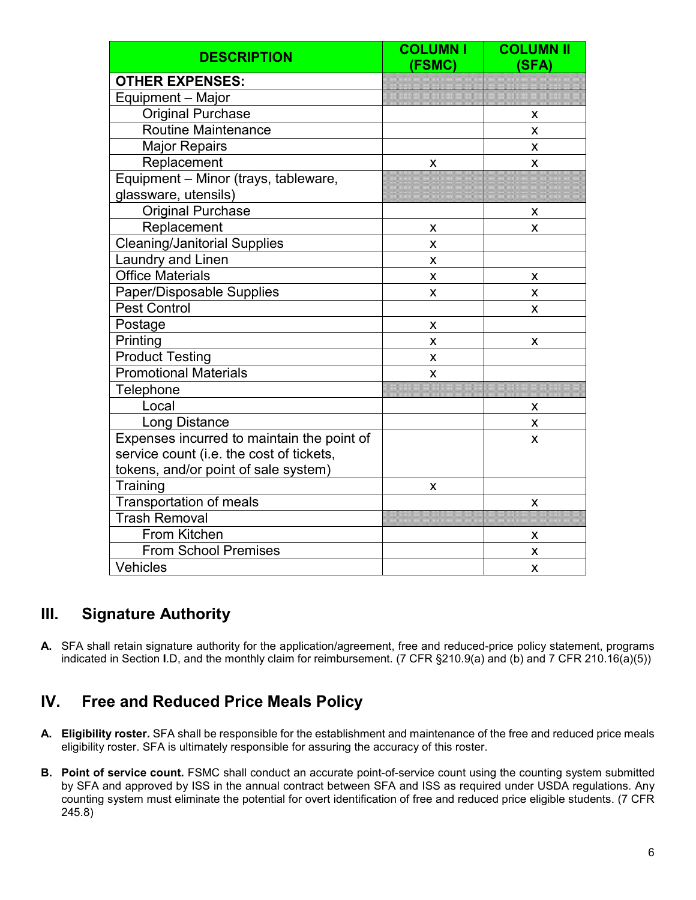| <b>DESCRIPTION</b>                         | <b>COLUMNI</b><br>(FSMC) | <b>COLUMN II</b><br>(SFA) |
|--------------------------------------------|--------------------------|---------------------------|
| <b>OTHER EXPENSES:</b>                     |                          |                           |
| Equipment - Major                          |                          |                           |
| <b>Original Purchase</b>                   |                          | X                         |
| <b>Routine Maintenance</b>                 |                          | X                         |
| <b>Major Repairs</b>                       |                          | X                         |
| Replacement                                | X                        | X                         |
| Equipment - Minor (trays, tableware,       |                          |                           |
| glassware, utensils)                       |                          |                           |
| <b>Original Purchase</b>                   |                          | X                         |
| Replacement                                | X                        | X                         |
| <b>Cleaning/Janitorial Supplies</b>        | X                        |                           |
| Laundry and Linen                          | X                        |                           |
| <b>Office Materials</b>                    | X                        | X                         |
| Paper/Disposable Supplies                  | X                        | X                         |
| <b>Pest Control</b>                        |                          | X                         |
| Postage                                    | X                        |                           |
| Printing                                   | X                        | X                         |
| <b>Product Testing</b>                     | X                        |                           |
| <b>Promotional Materials</b>               | X                        |                           |
| Telephone                                  |                          |                           |
| Local                                      |                          | х                         |
| <b>Long Distance</b>                       |                          | X                         |
| Expenses incurred to maintain the point of |                          | X                         |
| service count (i.e. the cost of tickets,   |                          |                           |
| tokens, and/or point of sale system)       |                          |                           |
| Training                                   | x                        |                           |
| Transportation of meals                    |                          | X                         |
| <b>Trash Removal</b>                       |                          |                           |
| From Kitchen                               |                          | X                         |
| <b>From School Premises</b>                |                          | X                         |
| Vehicles                                   |                          | X                         |

## **III. Signature Authority**

**A.** SFA shall retain signature authority for the application/agreement, free and reduced-price policy statement, programs indicated in Section **I**.D, and the monthly claim for reimbursement. (7 CFR §210.9(a) and (b) and 7 CFR 210.16(a)(5))

## **IV. Free and Reduced Price Meals Policy**

- **A. Eligibility roster.** SFA shall be responsible for the establishment and maintenance of the free and reduced price meals eligibility roster. SFA is ultimately responsible for assuring the accuracy of this roster.
- **B. Point of service count.** FSMC shall conduct an accurate point-of-service count using the counting system submitted by SFA and approved by ISS in the annual contract between SFA and ISS as required under USDA regulations. Any counting system must eliminate the potential for overt identification of free and reduced price eligible students. (7 CFR 245.8)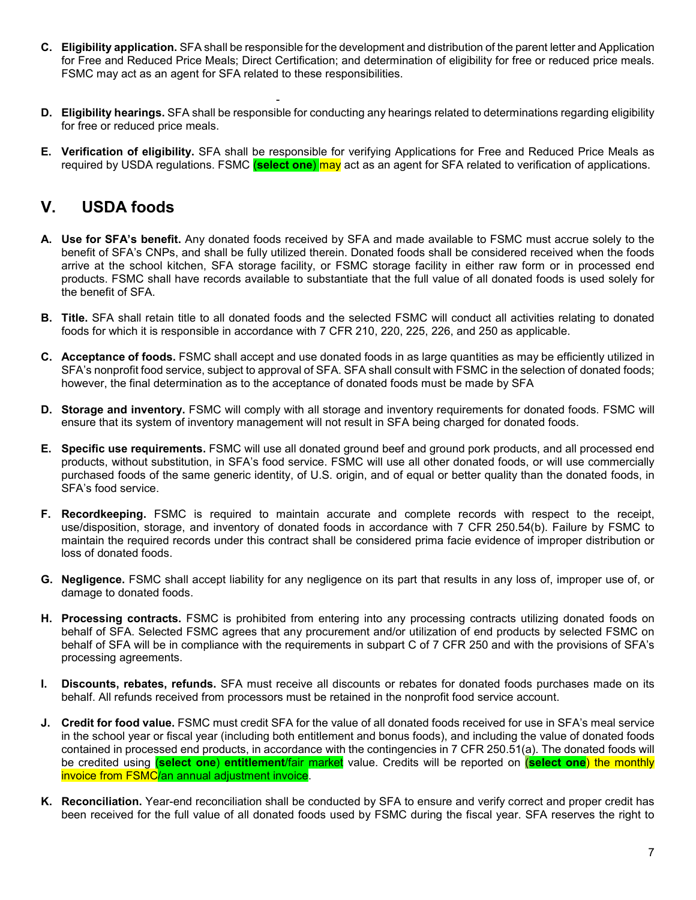- **C. Eligibility application.** SFA shall be responsible for the development and distribution of the parent letter and Application for Free and Reduced Price Meals; Direct Certification; and determination of eligibility for free or reduced price meals. FSMC may act as an agent for SFA related to these responsibilities.
- **D. Eligibility hearings.** SFA shall be responsible for conducting any hearings related to determinations regarding eligibility for free or reduced price meals.
- **E. Verification of eligibility.** SFA shall be responsible for verifying Applications for Free and Reduced Price Meals as required by USDA regulations. FSMC (**select one**) may act as an agent for SFA related to verification of applications.

#### **V. USDA foods**

- **A. Use for SFA's benefit.** Any donated foods received by SFA and made available to FSMC must accrue solely to the benefit of SFA's CNPs, and shall be fully utilized therein. Donated foods shall be considered received when the foods arrive at the school kitchen, SFA storage facility, or FSMC storage facility in either raw form or in processed end products. FSMC shall have records available to substantiate that the full value of all donated foods is used solely for the benefit of SFA.
- **B. Title.** SFA shall retain title to all donated foods and the selected FSMC will conduct all activities relating to donated foods for which it is responsible in accordance with 7 CFR 210, 220, 225, 226, and 250 as applicable.
- **C. Acceptance of foods.** FSMC shall accept and use donated foods in as large quantities as may be efficiently utilized in SFA's nonprofit food service, subject to approval of SFA. SFA shall consult with FSMC in the selection of donated foods; however, the final determination as to the acceptance of donated foods must be made by SFA
- **D. Storage and inventory.** FSMC will comply with all storage and inventory requirements for donated foods. FSMC will ensure that its system of inventory management will not result in SFA being charged for donated foods.
- **E. Specific use requirements.** FSMC will use all donated ground beef and ground pork products, and all processed end products, without substitution, in SFA's food service. FSMC will use all other donated foods, or will use commercially purchased foods of the same generic identity, of U.S. origin, and of equal or better quality than the donated foods, in SFA's food service.
- **F. Recordkeeping.** FSMC is required to maintain accurate and complete records with respect to the receipt, use/disposition, storage, and inventory of donated foods in accordance with 7 CFR 250.54(b). Failure by FSMC to maintain the required records under this contract shall be considered prima facie evidence of improper distribution or loss of donated foods.
- **G. Negligence.** FSMC shall accept liability for any negligence on its part that results in any loss of, improper use of, or damage to donated foods.
- **H. Processing contracts.** FSMC is prohibited from entering into any processing contracts utilizing donated foods on behalf of SFA. Selected FSMC agrees that any procurement and/or utilization of end products by selected FSMC on behalf of SFA will be in compliance with the requirements in subpart C of 7 CFR 250 and with the provisions of SFA's processing agreements.
- **I. Discounts, rebates, refunds.** SFA must receive all discounts or rebates for donated foods purchases made on its behalf. All refunds received from processors must be retained in the nonprofit food service account.
- **J. Credit for food value.** FSMC must credit SFA for the value of all donated foods received for use in SFA's meal service in the school year or fiscal year (including both entitlement and bonus foods), and including the value of donated foods contained in processed end products, in accordance with the contingencies in 7 CFR 250.51(a). The donated foods will be credited using (**select one**) **entitlement**/fair market value. Credits will be reported on (**select one**) the monthly invoice from FSMC/an annual adjustment invoice.
- **K. Reconciliation.** Year-end reconciliation shall be conducted by SFA to ensure and verify correct and proper credit has been received for the full value of all donated foods used by FSMC during the fiscal year. SFA reserves the right to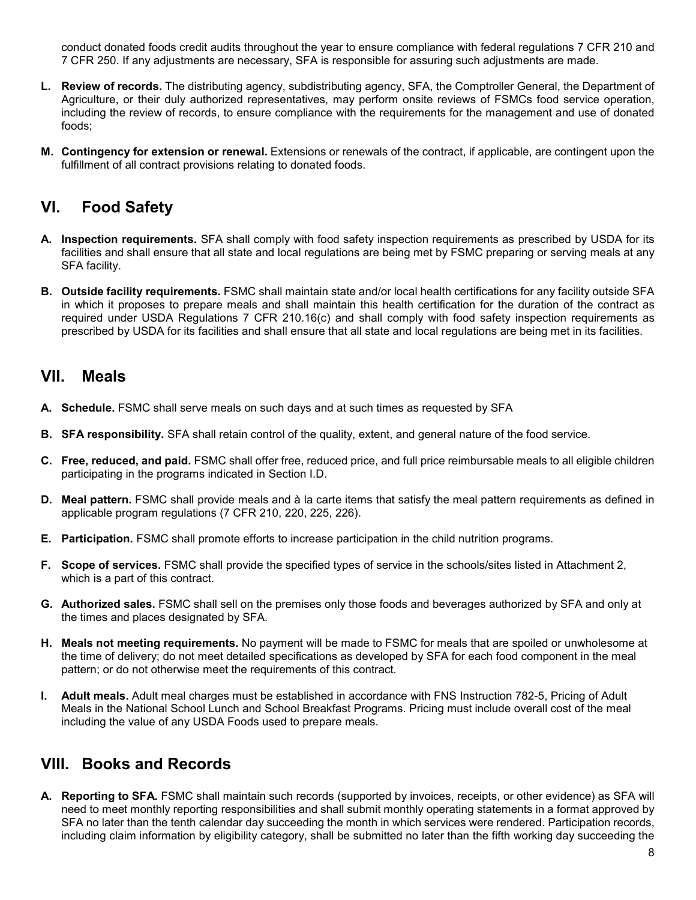conduct donated foods credit audits throughout the year to ensure compliance with federal regulations 7 CFR 210 and 7 CFR 250. If any adjustments are necessary, SFA is responsible for assuring such adjustments are made.

- **L. Review of records.** The distributing agency, subdistributing agency, SFA, the Comptroller General, the Department of Agriculture, or their duly authorized representatives, may perform onsite reviews of FSMCs food service operation, including the review of records, to ensure compliance with the requirements for the management and use of donated foods;
- **M. Contingency for extension or renewal.** Extensions or renewals of the contract, if applicable, are contingent upon the fulfillment of all contract provisions relating to donated foods.

#### **VI. Food Safety**

- **A. Inspection requirements.** SFA shall comply with food safety inspection requirements as prescribed by USDA for its facilities and shall ensure that all state and local regulations are being met by FSMC preparing or serving meals at any SFA facility.
- **B. Outside facility requirements.** FSMC shall maintain state and/or local health certifications for any facility outside SFA in which it proposes to prepare meals and shall maintain this health certification for the duration of the contract as required under USDA Regulations 7 CFR 210.16(c) and shall comply with food safety inspection requirements as prescribed by USDA for its facilities and shall ensure that all state and local regulations are being met in its facilities.

#### **VII. Meals**

- **A. Schedule.** FSMC shall serve meals on such days and at such times as requested by SFA
- **B. SFA responsibility.** SFA shall retain control of the quality, extent, and general nature of the food service.
- **C. Free, reduced, and paid.** FSMC shall offer free, reduced price, and full price reimbursable meals to all eligible children participating in the programs indicated in Section I.D.
- **D. Meal pattern.** FSMC shall provide meals and à la carte items that satisfy the meal pattern requirements as defined in applicable program regulations (7 CFR 210, 220, 225, 226).
- **E. Participation.** FSMC shall promote efforts to increase participation in the child nutrition programs.
- **F. Scope of services.** FSMC shall provide the specified types of service in the schools/sites listed in Attachment 2, which is a part of this contract.
- **G. Authorized sales.** FSMC shall sell on the premises only those foods and beverages authorized by SFA and only at the times and places designated by SFA.
- **H. Meals not meeting requirements.** No payment will be made to FSMC for meals that are spoiled or unwholesome at the time of delivery; do not meet detailed specifications as developed by SFA for each food component in the meal pattern; or do not otherwise meet the requirements of this contract.
- **I. Adult meals.** Adult meal charges must be established in accordance with FNS Instruction 782-5, Pricing of Adult Meals in the National School Lunch and School Breakfast Programs. Pricing must include overall cost of the meal including the value of any USDA Foods used to prepare meals.

#### **VIII. Books and Records**

**A. Reporting to SFA.** FSMC shall maintain such records (supported by invoices, receipts, or other evidence) as SFA will need to meet monthly reporting responsibilities and shall submit monthly operating statements in a format approved by SFA no later than the tenth calendar day succeeding the month in which services were rendered. Participation records, including claim information by eligibility category, shall be submitted no later than the fifth working day succeeding the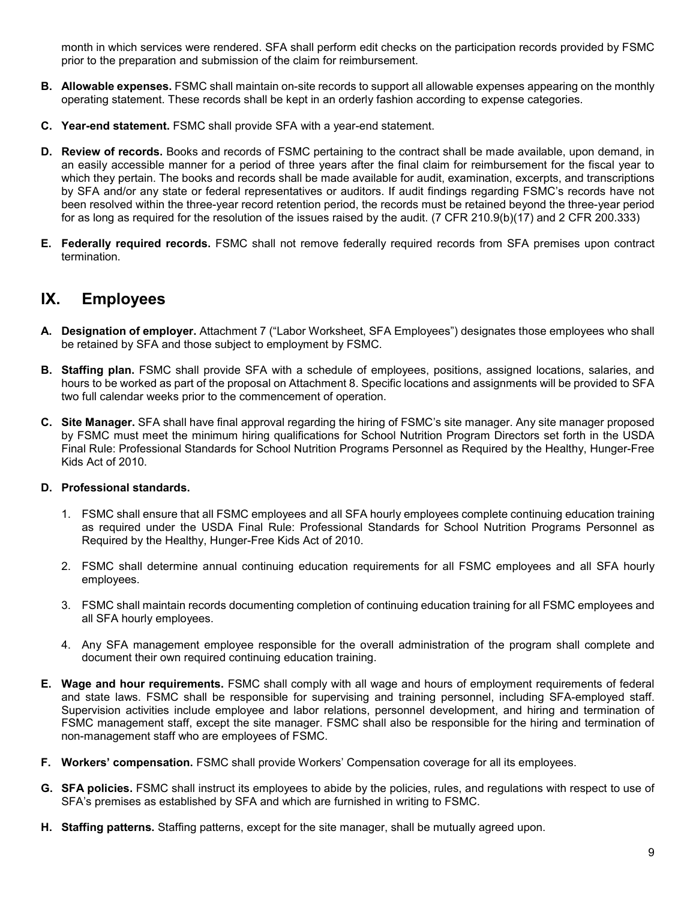month in which services were rendered. SFA shall perform edit checks on the participation records provided by FSMC prior to the preparation and submission of the claim for reimbursement.

- **B. Allowable expenses.** FSMC shall maintain on-site records to support all allowable expenses appearing on the monthly operating statement. These records shall be kept in an orderly fashion according to expense categories.
- **C. Year-end statement.** FSMC shall provide SFA with a year-end statement.
- **D. Review of records.** Books and records of FSMC pertaining to the contract shall be made available, upon demand, in an easily accessible manner for a period of three years after the final claim for reimbursement for the fiscal year to which they pertain. The books and records shall be made available for audit, examination, excerpts, and transcriptions by SFA and/or any state or federal representatives or auditors. If audit findings regarding FSMC's records have not been resolved within the three-year record retention period, the records must be retained beyond the three-year period for as long as required for the resolution of the issues raised by the audit. (7 CFR 210.9(b)(17) and 2 CFR 200.333)
- **E. Federally required records.** FSMC shall not remove federally required records from SFA premises upon contract termination.

#### **IX. Employees**

- **A. Designation of employer.** Attachment 7 ("Labor Worksheet, SFA Employees") designates those employees who shall be retained by SFA and those subject to employment by FSMC.
- **B. Staffing plan.** FSMC shall provide SFA with a schedule of employees, positions, assigned locations, salaries, and hours to be worked as part of the proposal on Attachment 8. Specific locations and assignments will be provided to SFA two full calendar weeks prior to the commencement of operation.
- **C. Site Manager.** SFA shall have final approval regarding the hiring of FSMC's site manager. Any site manager proposed by FSMC must meet the minimum hiring qualifications for School Nutrition Program Directors set forth in the USDA Final Rule: Professional Standards for School Nutrition Programs Personnel as Required by the Healthy, Hunger-Free Kids Act of 2010.

#### **D. Professional standards.**

- 1. FSMC shall ensure that all FSMC employees and all SFA hourly employees complete continuing education training as required under the USDA Final Rule: Professional Standards for School Nutrition Programs Personnel as Required by the Healthy, Hunger-Free Kids Act of 2010.
- 2. FSMC shall determine annual continuing education requirements for all FSMC employees and all SFA hourly employees.
- 3. FSMC shall maintain records documenting completion of continuing education training for all FSMC employees and all SFA hourly employees.
- 4. Any SFA management employee responsible for the overall administration of the program shall complete and document their own required continuing education training.
- **E. Wage and hour requirements.** FSMC shall comply with all wage and hours of employment requirements of federal and state laws. FSMC shall be responsible for supervising and training personnel, including SFA-employed staff. Supervision activities include employee and labor relations, personnel development, and hiring and termination of FSMC management staff, except the site manager. FSMC shall also be responsible for the hiring and termination of non-management staff who are employees of FSMC.
- **F. Workers' compensation.** FSMC shall provide Workers' Compensation coverage for all its employees.
- **G. SFA policies.** FSMC shall instruct its employees to abide by the policies, rules, and regulations with respect to use of SFA's premises as established by SFA and which are furnished in writing to FSMC.
- **H. Staffing patterns.** Staffing patterns, except for the site manager, shall be mutually agreed upon.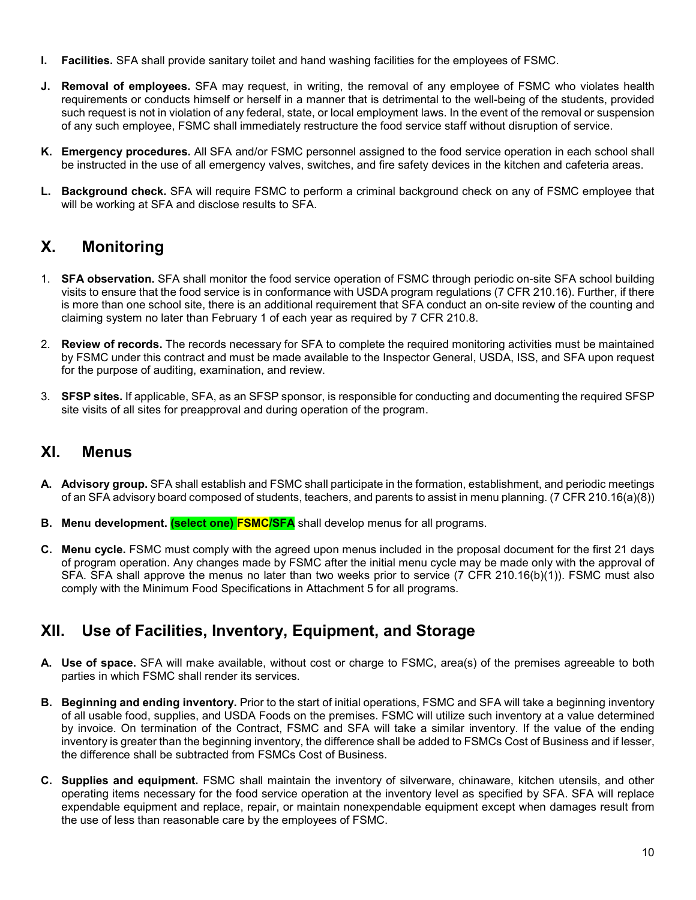- **I. Facilities.** SFA shall provide sanitary toilet and hand washing facilities for the employees of FSMC.
- **J. Removal of employees.** SFA may request, in writing, the removal of any employee of FSMC who violates health requirements or conducts himself or herself in a manner that is detrimental to the well-being of the students, provided such request is not in violation of any federal, state, or local employment laws. In the event of the removal or suspension of any such employee, FSMC shall immediately restructure the food service staff without disruption of service.
- **K. Emergency procedures.** All SFA and/or FSMC personnel assigned to the food service operation in each school shall be instructed in the use of all emergency valves, switches, and fire safety devices in the kitchen and cafeteria areas.
- **L. Background check.** SFA will require FSMC to perform a criminal background check on any of FSMC employee that will be working at SFA and disclose results to SFA.

#### **X. Monitoring**

- 1. **SFA observation.** SFA shall monitor the food service operation of FSMC through periodic on-site SFA school building visits to ensure that the food service is in conformance with USDA program regulations (7 CFR 210.16). Further, if there is more than one school site, there is an additional requirement that SFA conduct an on-site review of the counting and claiming system no later than February 1 of each year as required by 7 CFR 210.8.
- 2. **Review of records.** The records necessary for SFA to complete the required monitoring activities must be maintained by FSMC under this contract and must be made available to the Inspector General, USDA, ISS, and SFA upon request for the purpose of auditing, examination, and review.
- 3. **SFSP sites.** If applicable, SFA, as an SFSP sponsor, is responsible for conducting and documenting the required SFSP site visits of all sites for preapproval and during operation of the program.

#### **XI. Menus**

- **A. Advisory group.** SFA shall establish and FSMC shall participate in the formation, establishment, and periodic meetings of an SFA advisory board composed of students, teachers, and parents to assist in menu planning. (7 CFR 210.16(a)(8))
- **B. Menu development. (select one) FSMC/SFA** shall develop menus for all programs.
- **C. Menu cycle.** FSMC must comply with the agreed upon menus included in the proposal document for the first 21 days of program operation. Any changes made by FSMC after the initial menu cycle may be made only with the approval of SFA. SFA shall approve the menus no later than two weeks prior to service (7 CFR 210.16(b)(1)). FSMC must also comply with the Minimum Food Specifications in Attachment 5 for all programs.

#### **XII. Use of Facilities, Inventory, Equipment, and Storage**

- **A. Use of space.** SFA will make available, without cost or charge to FSMC, area(s) of the premises agreeable to both parties in which FSMC shall render its services.
- **B. Beginning and ending inventory.** Prior to the start of initial operations, FSMC and SFA will take a beginning inventory of all usable food, supplies, and USDA Foods on the premises. FSMC will utilize such inventory at a value determined by invoice. On termination of the Contract, FSMC and SFA will take a similar inventory. If the value of the ending inventory is greater than the beginning inventory, the difference shall be added to FSMCs Cost of Business and if lesser, the difference shall be subtracted from FSMCs Cost of Business.
- **C. Supplies and equipment.** FSMC shall maintain the inventory of silverware, chinaware, kitchen utensils, and other operating items necessary for the food service operation at the inventory level as specified by SFA. SFA will replace expendable equipment and replace, repair, or maintain nonexpendable equipment except when damages result from the use of less than reasonable care by the employees of FSMC.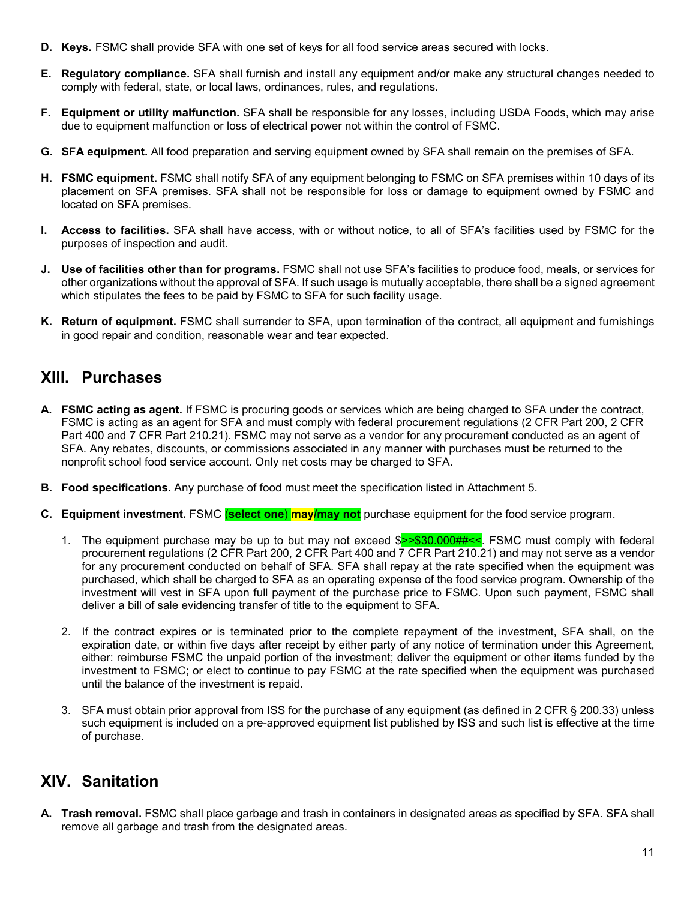- **D. Keys.** FSMC shall provide SFA with one set of keys for all food service areas secured with locks.
- **E. Regulatory compliance.** SFA shall furnish and install any equipment and/or make any structural changes needed to comply with federal, state, or local laws, ordinances, rules, and regulations.
- **F. Equipment or utility malfunction.** SFA shall be responsible for any losses, including USDA Foods, which may arise due to equipment malfunction or loss of electrical power not within the control of FSMC.
- **G. SFA equipment.** All food preparation and serving equipment owned by SFA shall remain on the premises of SFA.
- **H. FSMC equipment.** FSMC shall notify SFA of any equipment belonging to FSMC on SFA premises within 10 days of its placement on SFA premises. SFA shall not be responsible for loss or damage to equipment owned by FSMC and located on SFA premises.
- **I. Access to facilities.** SFA shall have access, with or without notice, to all of SFA's facilities used by FSMC for the purposes of inspection and audit.
- **J. Use of facilities other than for programs.** FSMC shall not use SFA's facilities to produce food, meals, or services for other organizations without the approval of SFA. If such usage is mutually acceptable, there shall be a signed agreement which stipulates the fees to be paid by FSMC to SFA for such facility usage.
- **K. Return of equipment.** FSMC shall surrender to SFA, upon termination of the contract, all equipment and furnishings in good repair and condition, reasonable wear and tear expected.

#### **XIII. Purchases**

- **A. FSMC acting as agent.** If FSMC is procuring goods or services which are being charged to SFA under the contract, FSMC is acting as an agent for SFA and must comply with federal procurement regulations (2 CFR Part 200, 2 CFR Part 400 and 7 CFR Part 210.21). FSMC may not serve as a vendor for any procurement conducted as an agent of SFA. Any rebates, discounts, or commissions associated in any manner with purchases must be returned to the nonprofit school food service account. Only net costs may be charged to SFA.
- **B. Food specifications.** Any purchase of food must meet the specification listed in Attachment 5.
- **C. Equipment investment.** FSMC (**select one**) **may/may not** purchase equipment for the food service program.
	- 1. The equipment purchase may be up to but may not exceed  $\gamma$  \$30.000## <<. FSMC must comply with federal procurement regulations (2 CFR Part 200, 2 CFR Part 400 and 7 CFR Part 210.21) and may not serve as a vendor for any procurement conducted on behalf of SFA. SFA shall repay at the rate specified when the equipment was purchased, which shall be charged to SFA as an operating expense of the food service program. Ownership of the investment will vest in SFA upon full payment of the purchase price to FSMC. Upon such payment, FSMC shall deliver a bill of sale evidencing transfer of title to the equipment to SFA.
	- 2. If the contract expires or is terminated prior to the complete repayment of the investment, SFA shall, on the expiration date, or within five days after receipt by either party of any notice of termination under this Agreement, either: reimburse FSMC the unpaid portion of the investment; deliver the equipment or other items funded by the investment to FSMC; or elect to continue to pay FSMC at the rate specified when the equipment was purchased until the balance of the investment is repaid.
	- 3. SFA must obtain prior approval from ISS for the purchase of any equipment (as defined in 2 CFR § 200.33) unless such equipment is included on a pre-approved equipment list published by ISS and such list is effective at the time of purchase.

#### **XIV. Sanitation**

**A. Trash removal.** FSMC shall place garbage and trash in containers in designated areas as specified by SFA. SFA shall remove all garbage and trash from the designated areas.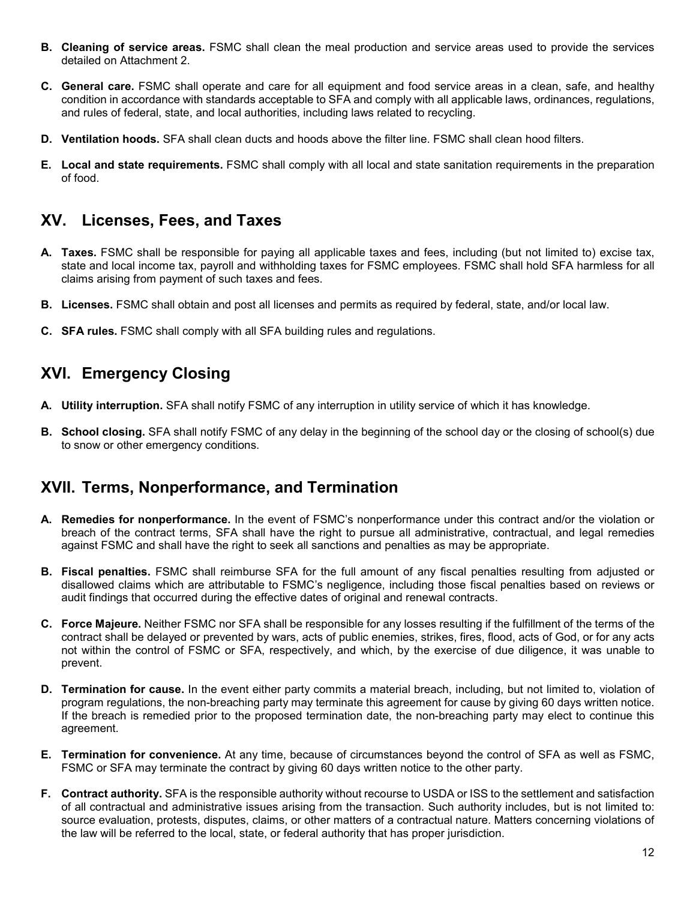- **B. Cleaning of service areas.** FSMC shall clean the meal production and service areas used to provide the services detailed on Attachment 2.
- **C. General care.** FSMC shall operate and care for all equipment and food service areas in a clean, safe, and healthy condition in accordance with standards acceptable to SFA and comply with all applicable laws, ordinances, regulations, and rules of federal, state, and local authorities, including laws related to recycling.
- **D. Ventilation hoods.** SFA shall clean ducts and hoods above the filter line. FSMC shall clean hood filters.
- **E. Local and state requirements.** FSMC shall comply with all local and state sanitation requirements in the preparation of food.

#### **XV. Licenses, Fees, and Taxes**

- **A. Taxes.** FSMC shall be responsible for paying all applicable taxes and fees, including (but not limited to) excise tax, state and local income tax, payroll and withholding taxes for FSMC employees. FSMC shall hold SFA harmless for all claims arising from payment of such taxes and fees.
- **B. Licenses.** FSMC shall obtain and post all licenses and permits as required by federal, state, and/or local law.
- **C. SFA rules.** FSMC shall comply with all SFA building rules and regulations.

## **XVI. Emergency Closing**

- **A. Utility interruption.** SFA shall notify FSMC of any interruption in utility service of which it has knowledge.
- **B. School closing.** SFA shall notify FSMC of any delay in the beginning of the school day or the closing of school(s) due to snow or other emergency conditions.

## **XVII. Terms, Nonperformance, and Termination**

- **A. Remedies for nonperformance.** In the event of FSMC's nonperformance under this contract and/or the violation or breach of the contract terms, SFA shall have the right to pursue all administrative, contractual, and legal remedies against FSMC and shall have the right to seek all sanctions and penalties as may be appropriate.
- **B. Fiscal penalties.** FSMC shall reimburse SFA for the full amount of any fiscal penalties resulting from adjusted or disallowed claims which are attributable to FSMC's negligence, including those fiscal penalties based on reviews or audit findings that occurred during the effective dates of original and renewal contracts.
- **C. Force Majeure.** Neither FSMC nor SFA shall be responsible for any losses resulting if the fulfillment of the terms of the contract shall be delayed or prevented by wars, acts of public enemies, strikes, fires, flood, acts of God, or for any acts not within the control of FSMC or SFA, respectively, and which, by the exercise of due diligence, it was unable to prevent.
- **D. Termination for cause.** In the event either party commits a material breach, including, but not limited to, violation of program regulations, the non-breaching party may terminate this agreement for cause by giving 60 days written notice. If the breach is remedied prior to the proposed termination date, the non-breaching party may elect to continue this agreement.
- **E. Termination for convenience.** At any time, because of circumstances beyond the control of SFA as well as FSMC, FSMC or SFA may terminate the contract by giving 60 days written notice to the other party.
- **F. Contract authority.** SFA is the responsible authority without recourse to USDA or ISS to the settlement and satisfaction of all contractual and administrative issues arising from the transaction. Such authority includes, but is not limited to: source evaluation, protests, disputes, claims, or other matters of a contractual nature. Matters concerning violations of the law will be referred to the local, state, or federal authority that has proper jurisdiction.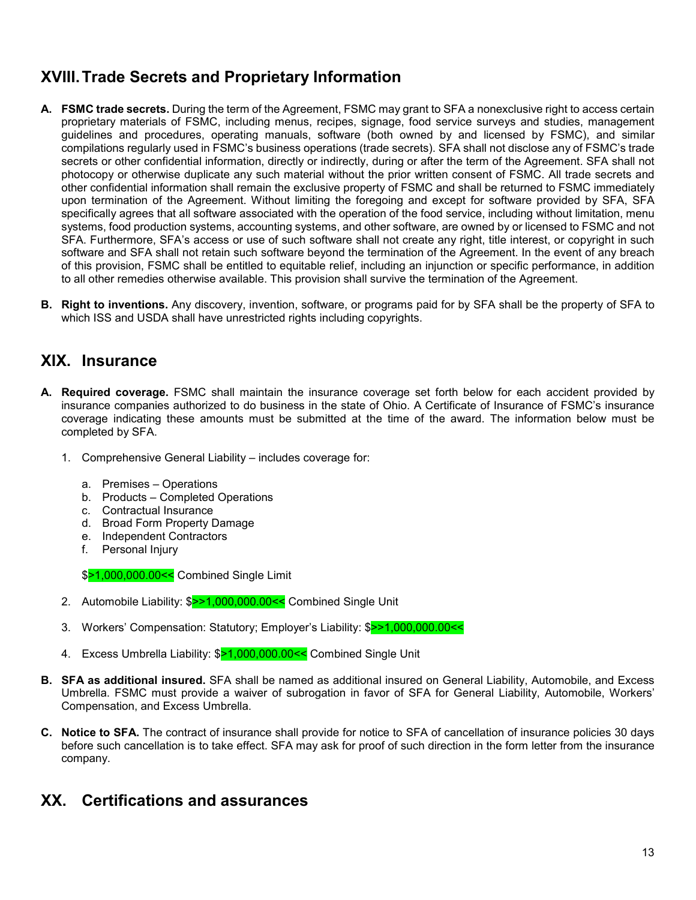## **XVIII. Trade Secrets and Proprietary Information**

- **A. FSMC trade secrets.** During the term of the Agreement, FSMC may grant to SFA a nonexclusive right to access certain proprietary materials of FSMC, including menus, recipes, signage, food service surveys and studies, management guidelines and procedures, operating manuals, software (both owned by and licensed by FSMC), and similar compilations regularly used in FSMC's business operations (trade secrets). SFA shall not disclose any of FSMC's trade secrets or other confidential information, directly or indirectly, during or after the term of the Agreement. SFA shall not photocopy or otherwise duplicate any such material without the prior written consent of FSMC. All trade secrets and other confidential information shall remain the exclusive property of FSMC and shall be returned to FSMC immediately upon termination of the Agreement. Without limiting the foregoing and except for software provided by SFA, SFA specifically agrees that all software associated with the operation of the food service, including without limitation, menu systems, food production systems, accounting systems, and other software, are owned by or licensed to FSMC and not SFA. Furthermore, SFA's access or use of such software shall not create any right, title interest, or copyright in such software and SFA shall not retain such software beyond the termination of the Agreement. In the event of any breach of this provision, FSMC shall be entitled to equitable relief, including an injunction or specific performance, in addition to all other remedies otherwise available. This provision shall survive the termination of the Agreement.
- **B. Right to inventions.** Any discovery, invention, software, or programs paid for by SFA shall be the property of SFA to which ISS and USDA shall have unrestricted rights including copyrights.

#### **XIX. Insurance**

- **A. Required coverage.** FSMC shall maintain the insurance coverage set forth below for each accident provided by insurance companies authorized to do business in the state of Ohio. A Certificate of Insurance of FSMC's insurance coverage indicating these amounts must be submitted at the time of the award. The information below must be completed by SFA.
	- 1. Comprehensive General Liability includes coverage for:
		- a. Premises Operations
		- b. Products Completed Operations
		- c. Contractual Insurance
		- d. Broad Form Property Damage
		- e. Independent Contractors
		- f. Personal Injury

\$>1,000,000.00<< Combined Single Limit

- 2. Automobile Liability: \$>>1,000,000.00<< Combined Single Unit
- 3. Workers' Compensation: Statutory; Employer's Liability: \$>>1,000,000.00<<
- 4. Excess Umbrella Liability: \$>1,000,000.00<< Combined Single Unit
- **B. SFA as additional insured.** SFA shall be named as additional insured on General Liability, Automobile, and Excess Umbrella. FSMC must provide a waiver of subrogation in favor of SFA for General Liability, Automobile, Workers' Compensation, and Excess Umbrella.
- **C. Notice to SFA.** The contract of insurance shall provide for notice to SFA of cancellation of insurance policies 30 days before such cancellation is to take effect. SFA may ask for proof of such direction in the form letter from the insurance company.

#### **XX. Certifications and assurances**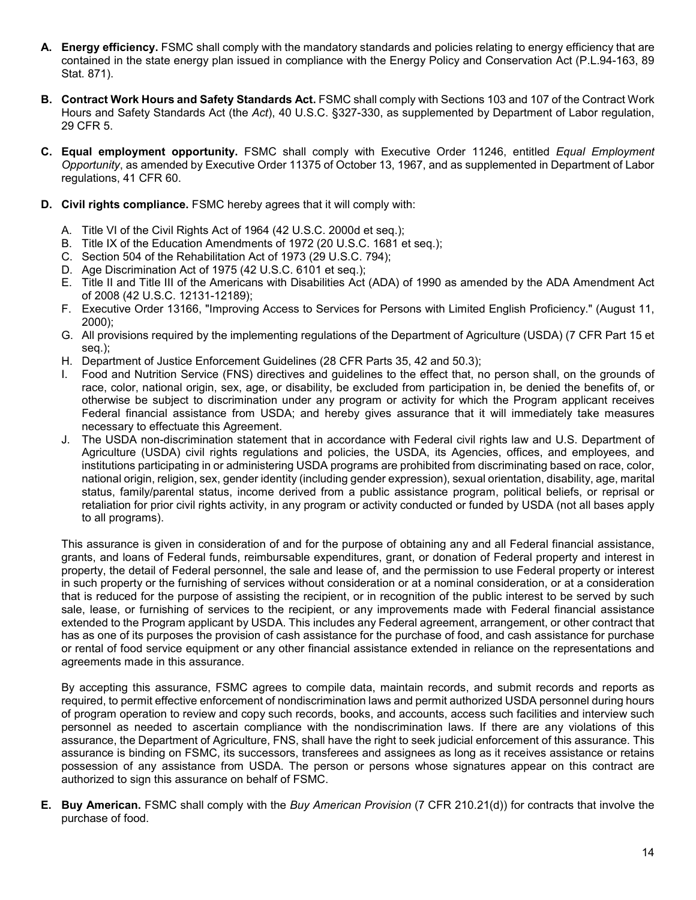- **A. Energy efficiency.** FSMC shall comply with the mandatory standards and policies relating to energy efficiency that are contained in the state energy plan issued in compliance with the Energy Policy and Conservation Act (P.L.94-163, 89 Stat. 871).
- **B. Contract Work Hours and Safety Standards Act.** FSMC shall comply with Sections 103 and 107 of the Contract Work Hours and Safety Standards Act (the *Act*), 40 U.S.C. §327-330, as supplemented by Department of Labor regulation, 29 CFR 5.
- **C. Equal employment opportunity.** FSMC shall comply with Executive Order 11246, entitled *Equal Employment Opportunity*, as amended by Executive Order 11375 of October 13, 1967, and as supplemented in Department of Labor regulations, 41 CFR 60.
- **D. Civil rights compliance.** FSMC hereby agrees that it will comply with:
	- A. Title VI of the Civil Rights Act of 1964 (42 U.S.C. 2000d et seq.);
	- B. Title IX of the Education Amendments of 1972 (20 U.S.C. 1681 et seq.);
	- C. Section 504 of the Rehabilitation Act of 1973 (29 U.S.C. 794);
	- D. Age Discrimination Act of 1975 (42 U.S.C. 6101 et seq.);
	- E. Title II and Title III of the Americans with Disabilities Act (ADA) of 1990 as amended by the ADA Amendment Act of 2008 (42 U.S.C. 12131-12189);
	- F. Executive Order 13166, "Improving Access to Services for Persons with Limited English Proficiency." (August 11, 2000);
	- G. All provisions required by the implementing regulations of the Department of Agriculture (USDA) (7 CFR Part 15 et seq.);
	- H. Department of Justice Enforcement Guidelines (28 CFR Parts 35, 42 and 50.3);
	- I. Food and Nutrition Service (FNS) directives and guidelines to the effect that, no person shall, on the grounds of race, color, national origin, sex, age, or disability, be excluded from participation in, be denied the benefits of, or otherwise be subject to discrimination under any program or activity for which the Program applicant receives Federal financial assistance from USDA; and hereby gives assurance that it will immediately take measures necessary to effectuate this Agreement.
	- J. The USDA non-discrimination statement that in accordance with Federal civil rights law and U.S. Department of Agriculture (USDA) civil rights regulations and policies, the USDA, its Agencies, offices, and employees, and institutions participating in or administering USDA programs are prohibited from discriminating based on race, color, national origin, religion, sex, gender identity (including gender expression), sexual orientation, disability, age, marital status, family/parental status, income derived from a public assistance program, political beliefs, or reprisal or retaliation for prior civil rights activity, in any program or activity conducted or funded by USDA (not all bases apply to all programs).

This assurance is given in consideration of and for the purpose of obtaining any and all Federal financial assistance, grants, and loans of Federal funds, reimbursable expenditures, grant, or donation of Federal property and interest in property, the detail of Federal personnel, the sale and lease of, and the permission to use Federal property or interest in such property or the furnishing of services without consideration or at a nominal consideration, or at a consideration that is reduced for the purpose of assisting the recipient, or in recognition of the public interest to be served by such sale, lease, or furnishing of services to the recipient, or any improvements made with Federal financial assistance extended to the Program applicant by USDA. This includes any Federal agreement, arrangement, or other contract that has as one of its purposes the provision of cash assistance for the purchase of food, and cash assistance for purchase or rental of food service equipment or any other financial assistance extended in reliance on the representations and agreements made in this assurance.

By accepting this assurance, FSMC agrees to compile data, maintain records, and submit records and reports as required, to permit effective enforcement of nondiscrimination laws and permit authorized USDA personnel during hours of program operation to review and copy such records, books, and accounts, access such facilities and interview such personnel as needed to ascertain compliance with the nondiscrimination laws. If there are any violations of this assurance, the Department of Agriculture, FNS, shall have the right to seek judicial enforcement of this assurance. This assurance is binding on FSMC, its successors, transferees and assignees as long as it receives assistance or retains possession of any assistance from USDA. The person or persons whose signatures appear on this contract are authorized to sign this assurance on behalf of FSMC.

**E. Buy American.** FSMC shall comply with the *Buy American Provision* (7 CFR 210.21(d)) for contracts that involve the purchase of food.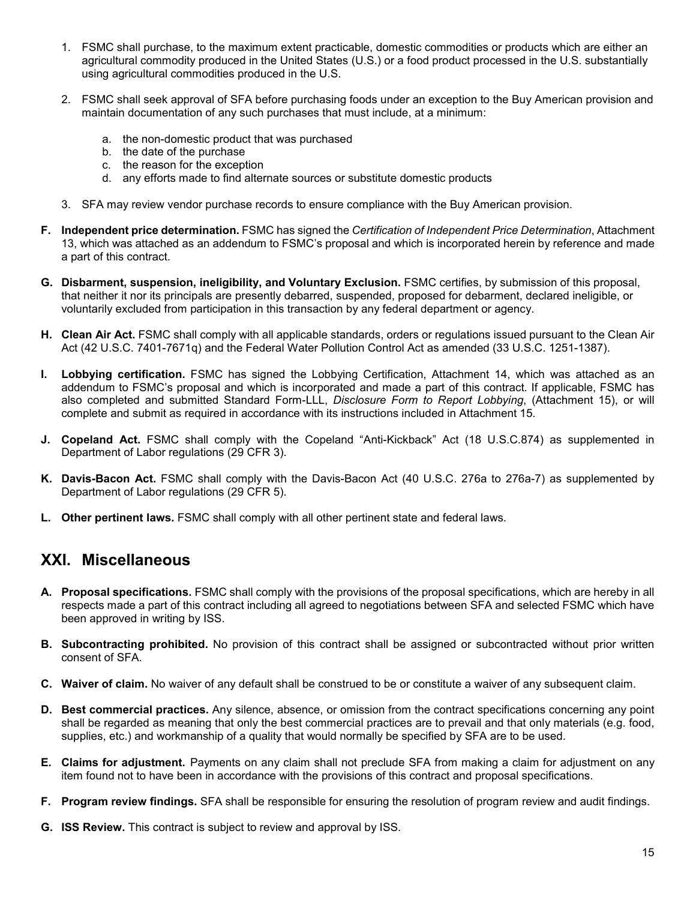- 1. FSMC shall purchase, to the maximum extent practicable, domestic commodities or products which are either an agricultural commodity produced in the United States (U.S.) or a food product processed in the U.S. substantially using agricultural commodities produced in the U.S.
- 2. FSMC shall seek approval of SFA before purchasing foods under an exception to the Buy American provision and maintain documentation of any such purchases that must include, at a minimum:
	- a. the non-domestic product that was purchased
	- b. the date of the purchase
	- c. the reason for the exception
	- d. any efforts made to find alternate sources or substitute domestic products
- 3. SFA may review vendor purchase records to ensure compliance with the Buy American provision.
- **F. Independent price determination.** FSMC has signed the *Certification of Independent Price Determination*, Attachment 13, which was attached as an addendum to FSMC's proposal and which is incorporated herein by reference and made a part of this contract.
- **G. Disbarment, suspension, ineligibility, and Voluntary Exclusion.** FSMC certifies, by submission of this proposal, that neither it nor its principals are presently debarred, suspended, proposed for debarment, declared ineligible, or voluntarily excluded from participation in this transaction by any federal department or agency.
- **H. Clean Air Act.** FSMC shall comply with all applicable standards, orders or regulations issued pursuant to the Clean Air Act (42 U.S.C. 7401-7671q) and the Federal Water Pollution Control Act as amended (33 U.S.C. 1251-1387).
- **I. Lobbying certification.** FSMC has signed the Lobbying Certification, Attachment 14, which was attached as an addendum to FSMC's proposal and which is incorporated and made a part of this contract. If applicable, FSMC has also completed and submitted Standard Form-LLL, *Disclosure Form to Report Lobbying*, (Attachment 15), or will complete and submit as required in accordance with its instructions included in Attachment 15.
- **J. Copeland Act.** FSMC shall comply with the Copeland "Anti-Kickback" Act (18 U.S.C.874) as supplemented in Department of Labor regulations (29 CFR 3).
- **K. Davis-Bacon Act.** FSMC shall comply with the Davis-Bacon Act (40 U.S.C. 276a to 276a-7) as supplemented by Department of Labor regulations (29 CFR 5).
- **L. Other pertinent laws.** FSMC shall comply with all other pertinent state and federal laws.

#### **XXI. Miscellaneous**

- **A. Proposal specifications.** FSMC shall comply with the provisions of the proposal specifications, which are hereby in all respects made a part of this contract including all agreed to negotiations between SFA and selected FSMC which have been approved in writing by ISS.
- **B. Subcontracting prohibited.** No provision of this contract shall be assigned or subcontracted without prior written consent of SFA.
- **C. Waiver of claim.** No waiver of any default shall be construed to be or constitute a waiver of any subsequent claim.
- **D. Best commercial practices.** Any silence, absence, or omission from the contract specifications concerning any point shall be regarded as meaning that only the best commercial practices are to prevail and that only materials (e.g. food, supplies, etc.) and workmanship of a quality that would normally be specified by SFA are to be used.
- **E. Claims for adjustment.** Payments on any claim shall not preclude SFA from making a claim for adjustment on any item found not to have been in accordance with the provisions of this contract and proposal specifications.
- **F. Program review findings.** SFA shall be responsible for ensuring the resolution of program review and audit findings.
- **G. ISS Review.** This contract is subject to review and approval by ISS.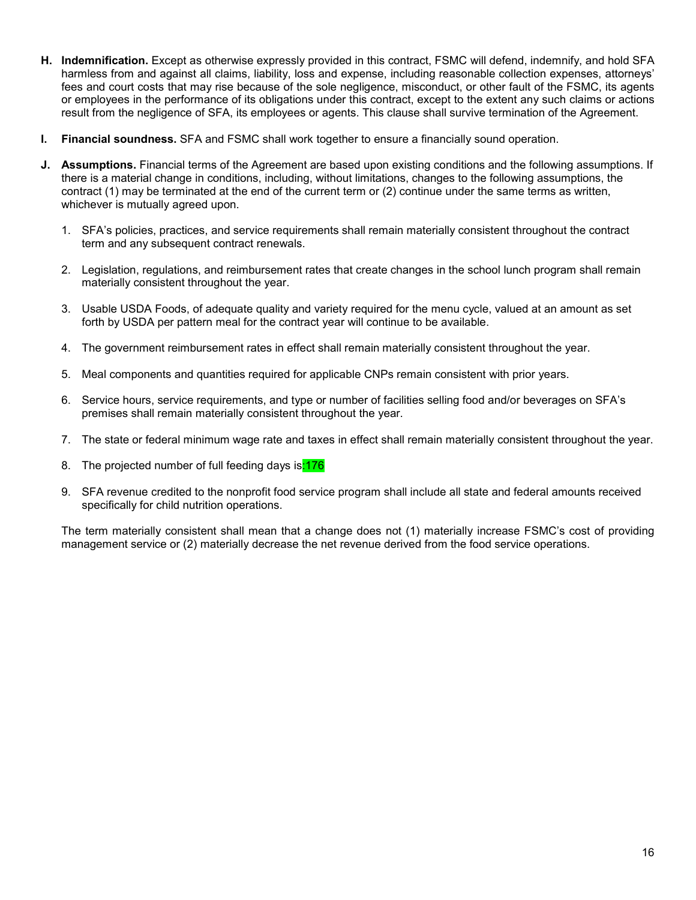- **H. Indemnification.** Except as otherwise expressly provided in this contract, FSMC will defend, indemnify, and hold SFA harmless from and against all claims, liability, loss and expense, including reasonable collection expenses, attorneys' fees and court costs that may rise because of the sole negligence, misconduct, or other fault of the FSMC, its agents or employees in the performance of its obligations under this contract, except to the extent any such claims or actions result from the negligence of SFA, its employees or agents. This clause shall survive termination of the Agreement.
- **I. Financial soundness.** SFA and FSMC shall work together to ensure a financially sound operation.
- **J. Assumptions.** Financial terms of the Agreement are based upon existing conditions and the following assumptions. If there is a material change in conditions, including, without limitations, changes to the following assumptions, the contract (1) may be terminated at the end of the current term or (2) continue under the same terms as written, whichever is mutually agreed upon.
	- 1. SFA's policies, practices, and service requirements shall remain materially consistent throughout the contract term and any subsequent contract renewals.
	- 2. Legislation, regulations, and reimbursement rates that create changes in the school lunch program shall remain materially consistent throughout the year.
	- 3. Usable USDA Foods, of adequate quality and variety required for the menu cycle, valued at an amount as set forth by USDA per pattern meal for the contract year will continue to be available.
	- 4. The government reimbursement rates in effect shall remain materially consistent throughout the year.
	- 5. Meal components and quantities required for applicable CNPs remain consistent with prior years.
	- 6. Service hours, service requirements, and type or number of facilities selling food and/or beverages on SFA's premises shall remain materially consistent throughout the year.
	- 7. The state or federal minimum wage rate and taxes in effect shall remain materially consistent throughout the year.
	- 8. The projected number of full feeding days is:176
	- 9. SFA revenue credited to the nonprofit food service program shall include all state and federal amounts received specifically for child nutrition operations.

The term materially consistent shall mean that a change does not (1) materially increase FSMC's cost of providing management service or (2) materially decrease the net revenue derived from the food service operations.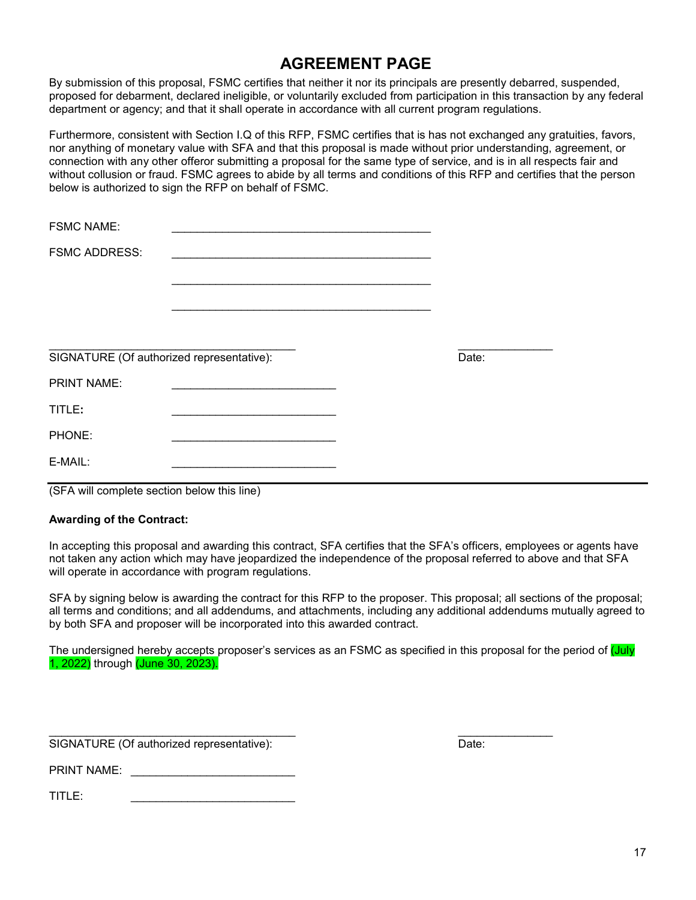### **AGREEMENT PAGE**

By submission of this proposal, FSMC certifies that neither it nor its principals are presently debarred, suspended, proposed for debarment, declared ineligible, or voluntarily excluded from participation in this transaction by any federal department or agency; and that it shall operate in accordance with all current program regulations.

Furthermore, consistent with Section I.Q of this RFP, FSMC certifies that is has not exchanged any gratuities, favors, nor anything of monetary value with SFA and that this proposal is made without prior understanding, agreement, or connection with any other offeror submitting a proposal for the same type of service, and is in all respects fair and without collusion or fraud. FSMC agrees to abide by all terms and conditions of this RFP and certifies that the person below is authorized to sign the RFP on behalf of FSMC.

| <b>FSMC NAME:</b>                         |                                                                                                                                                                                                                               |       |
|-------------------------------------------|-------------------------------------------------------------------------------------------------------------------------------------------------------------------------------------------------------------------------------|-------|
| <b>FSMC ADDRESS:</b>                      |                                                                                                                                                                                                                               |       |
|                                           |                                                                                                                                                                                                                               |       |
|                                           |                                                                                                                                                                                                                               |       |
|                                           |                                                                                                                                                                                                                               |       |
| SIGNATURE (Of authorized representative): |                                                                                                                                                                                                                               | Date: |
| <b>PRINT NAME:</b>                        | the control of the control of the control of the control of the control of the control of the control of the control of the control of the control of the control of the control of the control of the control of the control |       |
| TITLE:                                    |                                                                                                                                                                                                                               |       |
| PHONE:                                    |                                                                                                                                                                                                                               |       |
| E-MAIL:                                   |                                                                                                                                                                                                                               |       |
|                                           |                                                                                                                                                                                                                               |       |

(SFA will complete section below this line)

#### **Awarding of the Contract:**

In accepting this proposal and awarding this contract, SFA certifies that the SFA's officers, employees or agents have not taken any action which may have jeopardized the independence of the proposal referred to above and that SFA will operate in accordance with program regulations.

SFA by signing below is awarding the contract for this RFP to the proposer. This proposal; all sections of the proposal; all terms and conditions; and all addendums, and attachments, including any additional addendums mutually agreed to by both SFA and proposer will be incorporated into this awarded contract.

The undersigned hereby accepts proposer's services as an FSMC as specified in this proposal for the period of (July 1, 2022) through (June 30, 2023).

\_\_\_\_\_\_\_\_\_\_\_\_\_\_\_\_\_\_\_\_\_\_\_\_\_\_\_\_\_\_\_\_\_\_\_\_\_\_\_ \_\_\_\_\_\_\_\_\_\_\_\_\_\_\_ SIGNATURE (Of authorized representative): Date:

PRINT NAME:

 $TITLE:$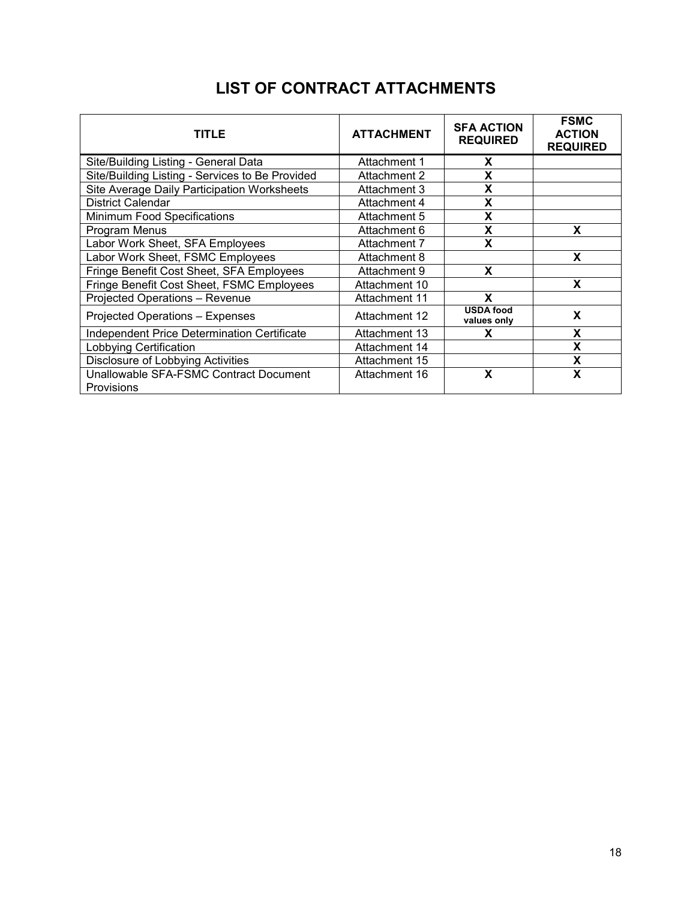| TITLE                                                | <b>ATTACHMENT</b> | <b>SFA ACTION</b><br><b>REQUIRED</b> | <b>FSMC</b><br><b>ACTION</b><br><b>REQUIRED</b> |
|------------------------------------------------------|-------------------|--------------------------------------|-------------------------------------------------|
| Site/Building Listing - General Data                 | Attachment 1      | X                                    |                                                 |
| Site/Building Listing - Services to Be Provided      | Attachment 2      | X                                    |                                                 |
| Site Average Daily Participation Worksheets          | Attachment 3      | X                                    |                                                 |
| <b>District Calendar</b>                             | Attachment 4      | X                                    |                                                 |
| Minimum Food Specifications                          | Attachment 5      | X                                    |                                                 |
| Program Menus                                        | Attachment 6      | X                                    | X                                               |
| Labor Work Sheet, SFA Employees                      | Attachment 7      | X                                    |                                                 |
| Labor Work Sheet, FSMC Employees                     | Attachment 8      |                                      | X                                               |
| Fringe Benefit Cost Sheet, SFA Employees             | Attachment 9      | X                                    |                                                 |
| Fringe Benefit Cost Sheet, FSMC Employees            | Attachment 10     |                                      | X                                               |
| Projected Operations - Revenue                       | Attachment 11     | X                                    |                                                 |
| <b>Projected Operations - Expenses</b>               | Attachment 12     | <b>USDA food</b><br>values only      | X                                               |
| Independent Price Determination Certificate          | Attachment 13     | X                                    | X                                               |
| Lobbying Certification                               | Attachment 14     |                                      | X                                               |
| Disclosure of Lobbying Activities                    | Attachment 15     |                                      | X                                               |
| Unallowable SFA-FSMC Contract Document<br>Provisions | Attachment 16     | X                                    | X                                               |

## **LIST OF CONTRACT ATTACHMENTS**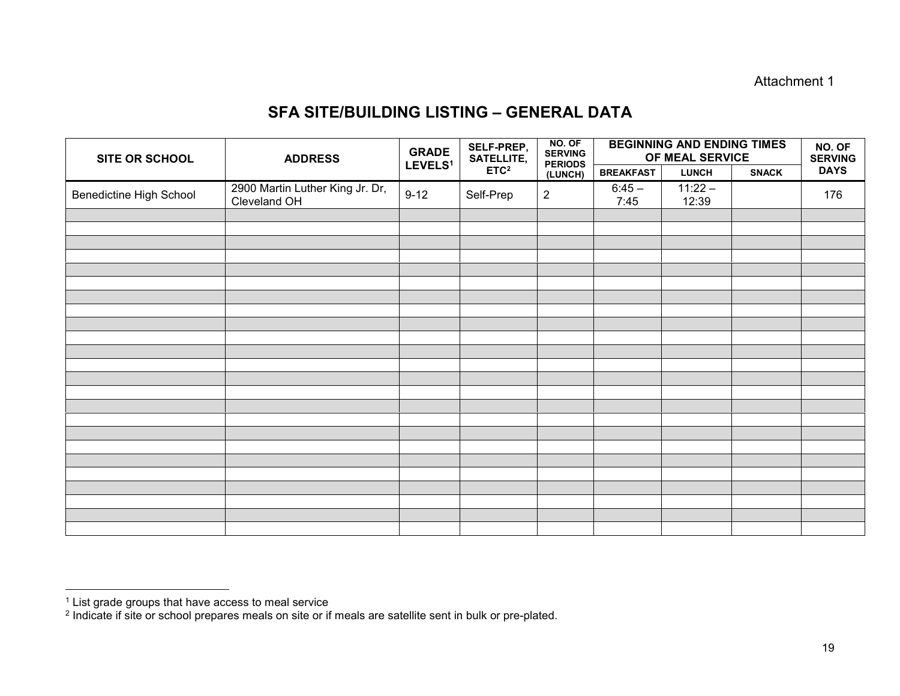#### Attachment 1

#### **SFA SITE/BUILDING LISTING – GENERAL DATA**

| <b>SITE OR SCHOOL</b>          | <b>ADDRESS</b>                                  | <b>GRADE</b><br>LEVELS <sup>1</sup> | SELF-PREP,<br>SATELLITE, | NO. OF<br><b>SERVING</b><br><b>PERIODS</b> | <b>BEGINNING AND ENDING TIMES</b><br>OF MEAL SERVICE | NO. OF<br><b>SERVING</b> |              |             |
|--------------------------------|-------------------------------------------------|-------------------------------------|--------------------------|--------------------------------------------|------------------------------------------------------|--------------------------|--------------|-------------|
|                                |                                                 |                                     | ETC <sup>2</sup>         | (LUNCH)                                    | <b>BREAKFAST</b>                                     | <b>LUNCH</b>             | <b>SNACK</b> | <b>DAYS</b> |
| <b>Benedictine High School</b> | 2900 Martin Luther King Jr. Dr,<br>Cleveland OH | $9 - 12$                            | Self-Prep                | $\overline{2}$                             | $6:45 -$<br>7:45                                     | $11:22 -$<br>12:39       |              | 176         |
|                                |                                                 |                                     |                          |                                            |                                                      |                          |              |             |
|                                |                                                 |                                     |                          |                                            |                                                      |                          |              |             |
|                                |                                                 |                                     |                          |                                            |                                                      |                          |              |             |
|                                |                                                 |                                     |                          |                                            |                                                      |                          |              |             |
|                                |                                                 |                                     |                          |                                            |                                                      |                          |              |             |
|                                |                                                 |                                     |                          |                                            |                                                      |                          |              |             |
|                                |                                                 |                                     |                          |                                            |                                                      |                          |              |             |
|                                |                                                 |                                     |                          |                                            |                                                      |                          |              |             |
|                                |                                                 |                                     |                          |                                            |                                                      |                          |              |             |
|                                |                                                 |                                     |                          |                                            |                                                      |                          |              |             |
|                                |                                                 |                                     |                          |                                            |                                                      |                          |              |             |
|                                |                                                 |                                     |                          |                                            |                                                      |                          |              |             |
|                                |                                                 |                                     |                          |                                            |                                                      |                          |              |             |
|                                |                                                 |                                     |                          |                                            |                                                      |                          |              |             |
|                                |                                                 |                                     |                          |                                            |                                                      |                          |              |             |
|                                |                                                 |                                     |                          |                                            |                                                      |                          |              |             |
|                                |                                                 |                                     |                          |                                            |                                                      |                          |              |             |
|                                |                                                 |                                     |                          |                                            |                                                      |                          |              |             |
|                                |                                                 |                                     |                          |                                            |                                                      |                          |              |             |
|                                |                                                 |                                     |                          |                                            |                                                      |                          |              |             |
|                                |                                                 |                                     |                          |                                            |                                                      |                          |              |             |
|                                |                                                 |                                     |                          |                                            |                                                      |                          |              |             |
|                                |                                                 |                                     |                          |                                            |                                                      |                          |              |             |

 <sup>1</sup> List grade groups that have access to meal service

 $^2$  Indicate if site or school prepares meals on site or if meals are satellite sent in bulk or pre-plated.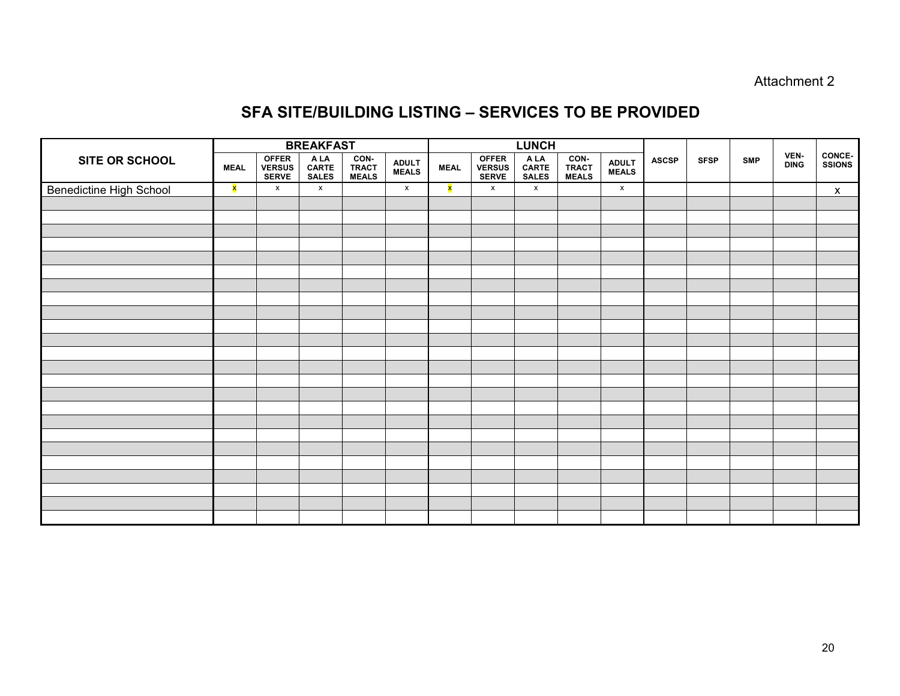Attachment 2

### **SFA SITE/BUILDING LISTING – SERVICES TO BE PROVIDED**

|                                | <b>BREAKFAST</b> |                                 |                               |                        |                        | <b>LUNCH</b> |                                 |                               |                               |                              |              |             |            |                     |                                |
|--------------------------------|------------------|---------------------------------|-------------------------------|------------------------|------------------------|--------------|---------------------------------|-------------------------------|-------------------------------|------------------------------|--------------|-------------|------------|---------------------|--------------------------------|
| SITE OR SCHOOL                 | <b>MEAL</b>      | OFFER<br>VERSUS<br><b>SERVE</b> | A LA<br>CARTE<br><b>SALES</b> | CON-<br>TRACT<br>MEALS | <b>ADULT<br/>MEALS</b> | <b>MEAL</b>  | OFFER<br>VERSUS<br><b>SERVE</b> | A LA<br>CARTE<br><b>SALES</b> | CON-<br>TRACT<br><b>MEALS</b> | <b>ADULT</b><br><b>MEALS</b> | <b>ASCSP</b> | <b>SFSP</b> | <b>SMP</b> | VEN-<br><b>DING</b> | <b>CONCE-</b><br><b>SSIONS</b> |
| <b>Benedictine High School</b> | <b>x</b>         | $\mathsf{x}$                    | $\mathsf{x}$                  |                        | $\mathbf{x}$           | ×            | $\mathsf{x}$                    | $\mathbf{x}$                  |                               | $\mathsf X$                  |              |             |            |                     | $\mathsf{X}$                   |
|                                |                  |                                 |                               |                        |                        |              |                                 |                               |                               |                              |              |             |            |                     |                                |
|                                |                  |                                 |                               |                        |                        |              |                                 |                               |                               |                              |              |             |            |                     |                                |
|                                |                  |                                 |                               |                        |                        |              |                                 |                               |                               |                              |              |             |            |                     |                                |
|                                |                  |                                 |                               |                        |                        |              |                                 |                               |                               |                              |              |             |            |                     |                                |
|                                |                  |                                 |                               |                        |                        |              |                                 |                               |                               |                              |              |             |            |                     |                                |
|                                |                  |                                 |                               |                        |                        |              |                                 |                               |                               |                              |              |             |            |                     |                                |
|                                |                  |                                 |                               |                        |                        |              |                                 |                               |                               |                              |              |             |            |                     |                                |
|                                |                  |                                 |                               |                        |                        |              |                                 |                               |                               |                              |              |             |            |                     |                                |
|                                |                  |                                 |                               |                        |                        |              |                                 |                               |                               |                              |              |             |            |                     |                                |
|                                |                  |                                 |                               |                        |                        |              |                                 |                               |                               |                              |              |             |            |                     |                                |
|                                |                  |                                 |                               |                        |                        |              |                                 |                               |                               |                              |              |             |            |                     |                                |
|                                |                  |                                 |                               |                        |                        |              |                                 |                               |                               |                              |              |             |            |                     |                                |
|                                |                  |                                 |                               |                        |                        |              |                                 |                               |                               |                              |              |             |            |                     |                                |
|                                |                  |                                 |                               |                        |                        |              |                                 |                               |                               |                              |              |             |            |                     |                                |
|                                |                  |                                 |                               |                        |                        |              |                                 |                               |                               |                              |              |             |            |                     |                                |
|                                |                  |                                 |                               |                        |                        |              |                                 |                               |                               |                              |              |             |            |                     |                                |
|                                |                  |                                 |                               |                        |                        |              |                                 |                               |                               |                              |              |             |            |                     |                                |
|                                |                  |                                 |                               |                        |                        |              |                                 |                               |                               |                              |              |             |            |                     |                                |
|                                |                  |                                 |                               |                        |                        |              |                                 |                               |                               |                              |              |             |            |                     |                                |
|                                |                  |                                 |                               |                        |                        |              |                                 |                               |                               |                              |              |             |            |                     |                                |
|                                |                  |                                 |                               |                        |                        |              |                                 |                               |                               |                              |              |             |            |                     |                                |
|                                |                  |                                 |                               |                        |                        |              |                                 |                               |                               |                              |              |             |            |                     |                                |
|                                |                  |                                 |                               |                        |                        |              |                                 |                               |                               |                              |              |             |            |                     |                                |
|                                |                  |                                 |                               |                        |                        |              |                                 |                               |                               |                              |              |             |            |                     |                                |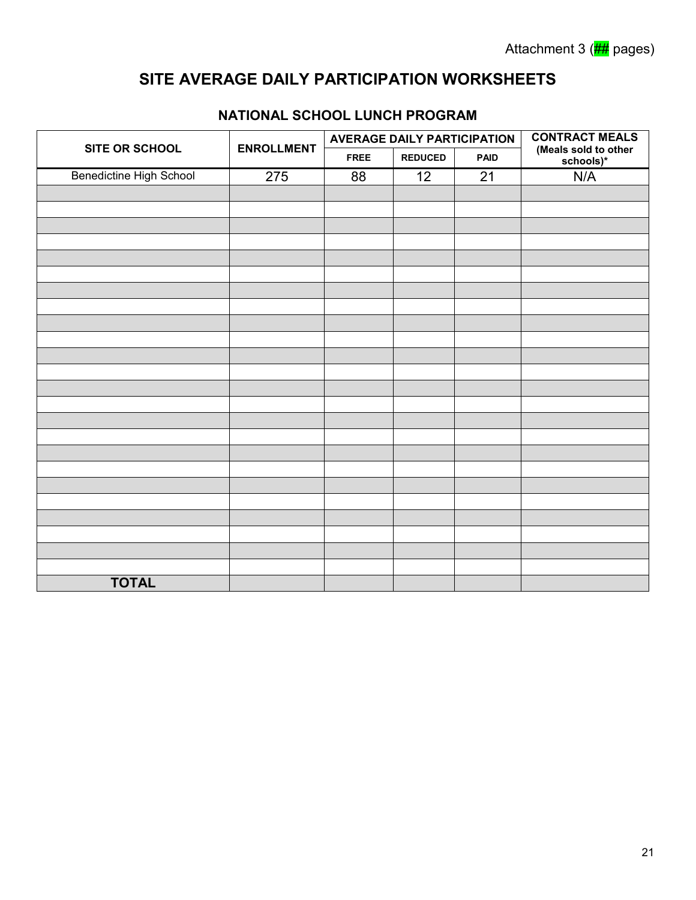## **SITE AVERAGE DAILY PARTICIPATION WORKSHEETS**

|                         |                   | <b>AVERAGE DAILY PARTICIPATION</b> |    | <b>CONTRACT MEALS</b><br>(Meals sold to other<br>schools)* |     |
|-------------------------|-------------------|------------------------------------|----|------------------------------------------------------------|-----|
| SITE OR SCHOOL          | <b>ENROLLMENT</b> | <b>REDUCED</b><br><b>FREE</b>      |    |                                                            |     |
| Benedictine High School | 275               | 88                                 | 12 | 21                                                         | N/A |
|                         |                   |                                    |    |                                                            |     |
|                         |                   |                                    |    |                                                            |     |
|                         |                   |                                    |    |                                                            |     |
|                         |                   |                                    |    |                                                            |     |
|                         |                   |                                    |    |                                                            |     |
|                         |                   |                                    |    |                                                            |     |
|                         |                   |                                    |    |                                                            |     |
|                         |                   |                                    |    |                                                            |     |
|                         |                   |                                    |    |                                                            |     |
|                         |                   |                                    |    |                                                            |     |
|                         |                   |                                    |    |                                                            |     |
|                         |                   |                                    |    |                                                            |     |
|                         |                   |                                    |    |                                                            |     |
|                         |                   |                                    |    |                                                            |     |
|                         |                   |                                    |    |                                                            |     |
|                         |                   |                                    |    |                                                            |     |
|                         |                   |                                    |    |                                                            |     |
|                         |                   |                                    |    |                                                            |     |
|                         |                   |                                    |    |                                                            |     |
|                         |                   |                                    |    |                                                            |     |
|                         |                   |                                    |    |                                                            |     |
|                         |                   |                                    |    |                                                            |     |
|                         |                   |                                    |    |                                                            |     |
|                         |                   |                                    |    |                                                            |     |
| <b>TOTAL</b>            |                   |                                    |    |                                                            |     |

#### **NATIONAL SCHOOL LUNCH PROGRAM**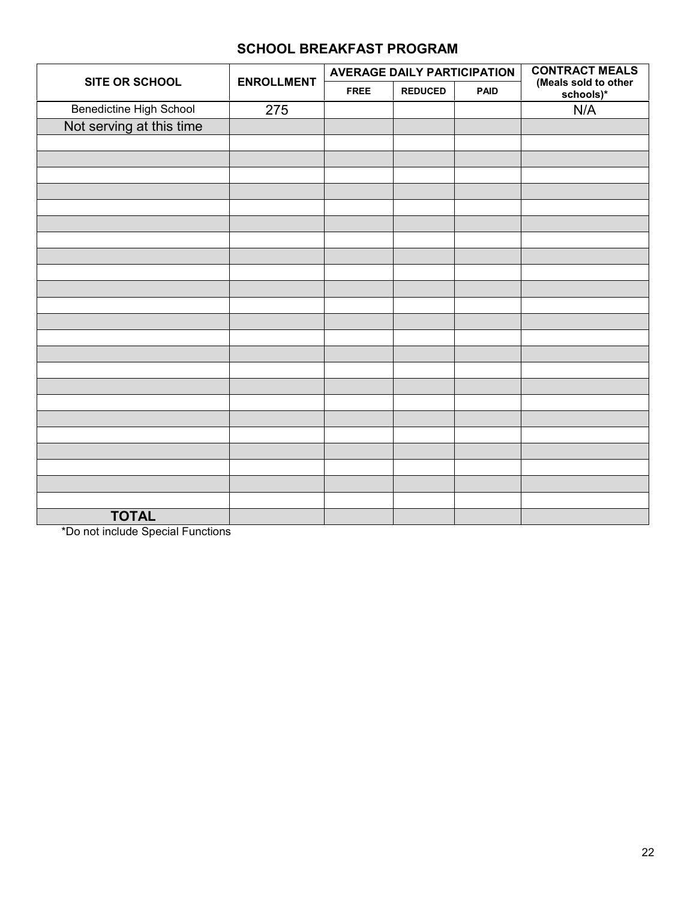|                          |                   | <b>AVERAGE DAILY PARTICIPATION</b> |                | <b>CONTRACT MEALS</b> |                                   |
|--------------------------|-------------------|------------------------------------|----------------|-----------------------|-----------------------------------|
| SITE OR SCHOOL           | <b>ENROLLMENT</b> | <b>FREE</b>                        | <b>REDUCED</b> | <b>PAID</b>           | (Meals sold to other<br>schools)* |
| Benedictine High School  | 275               |                                    |                |                       | N/A                               |
| Not serving at this time |                   |                                    |                |                       |                                   |
|                          |                   |                                    |                |                       |                                   |
|                          |                   |                                    |                |                       |                                   |
|                          |                   |                                    |                |                       |                                   |
|                          |                   |                                    |                |                       |                                   |
|                          |                   |                                    |                |                       |                                   |
|                          |                   |                                    |                |                       |                                   |
|                          |                   |                                    |                |                       |                                   |
|                          |                   |                                    |                |                       |                                   |
|                          |                   |                                    |                |                       |                                   |
|                          |                   |                                    |                |                       |                                   |
|                          |                   |                                    |                |                       |                                   |
|                          |                   |                                    |                |                       |                                   |
|                          |                   |                                    |                |                       |                                   |
|                          |                   |                                    |                |                       |                                   |
|                          |                   |                                    |                |                       |                                   |
|                          |                   |                                    |                |                       |                                   |
|                          |                   |                                    |                |                       |                                   |
|                          |                   |                                    |                |                       |                                   |
|                          |                   |                                    |                |                       |                                   |
|                          |                   |                                    |                |                       |                                   |
|                          |                   |                                    |                |                       |                                   |
|                          |                   |                                    |                |                       |                                   |
|                          |                   |                                    |                |                       |                                   |
| <b>TOTAL</b>             |                   |                                    |                |                       |                                   |

\*Do not include Special Functions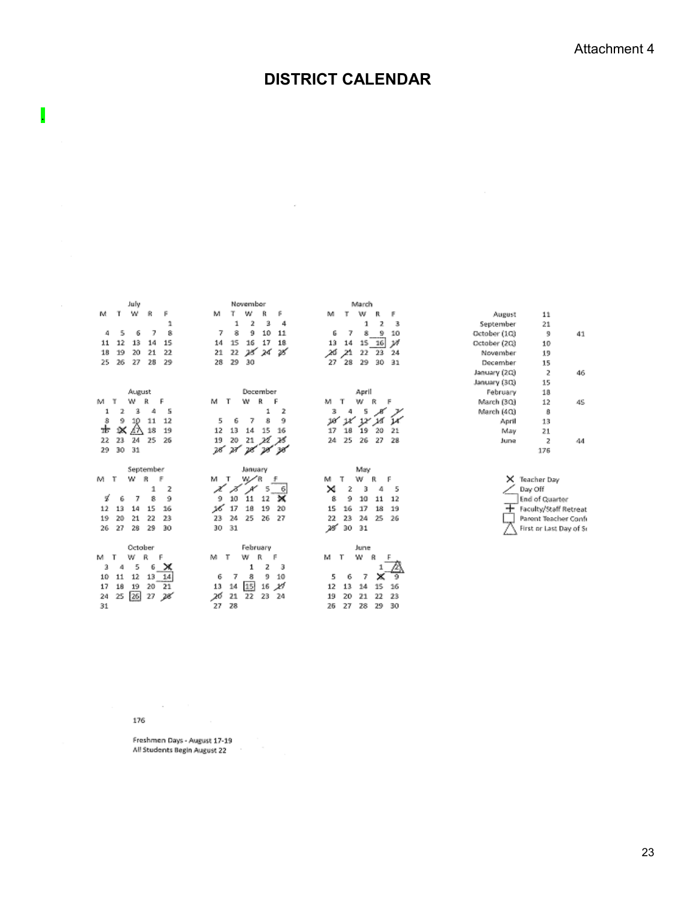## **DISTRICT CALENDAR**

 $\epsilon$ 

|                         | July                                                                                                         | November                                                                                                                      | March                                                                                                                                         |              |                                                                                                  |
|-------------------------|--------------------------------------------------------------------------------------------------------------|-------------------------------------------------------------------------------------------------------------------------------|-----------------------------------------------------------------------------------------------------------------------------------------------|--------------|--------------------------------------------------------------------------------------------------|
| м                       | w<br>т<br>R<br>F                                                                                             | м<br>Υ<br>w<br>R<br>F                                                                                                         | м<br>F<br>w<br>R                                                                                                                              | August       | 11                                                                                               |
|                         | 1                                                                                                            | 3<br>1<br>2<br>4                                                                                                              | з<br>2<br>1                                                                                                                                   | September    | 21                                                                                               |
| 4                       | 7<br>8<br>5<br>6                                                                                             | 7<br>10<br>11<br>8<br>9                                                                                                       | 7<br>8<br>9<br>10<br>6                                                                                                                        | October (1Q) | 9<br>41                                                                                          |
| 11                      | 15<br>12<br>13<br>14                                                                                         | 18<br>15<br>17<br>14<br>16                                                                                                    | 13<br>14<br>15 16<br>v                                                                                                                        | October (2Q) | 10                                                                                               |
| 18                      | 22<br>19<br>20<br>21                                                                                         | 28 24<br>28<br>22<br>21                                                                                                       | 26<br>21<br>23<br>22<br>24                                                                                                                    | November     | 19                                                                                               |
| 25                      | 29<br>26<br>27<br>28                                                                                         | 30<br>28<br>29                                                                                                                | 28<br>30<br>29<br>31<br>27                                                                                                                    | December     | 15                                                                                               |
|                         |                                                                                                              |                                                                                                                               |                                                                                                                                               | January (2Q) | 2<br>46                                                                                          |
|                         |                                                                                                              |                                                                                                                               |                                                                                                                                               | January (30) | 15                                                                                               |
|                         | August                                                                                                       | December                                                                                                                      | April                                                                                                                                         | February     | 18                                                                                               |
| м                       | w<br>й<br>F                                                                                                  | R<br>T<br>w<br>м<br>F                                                                                                         | м<br>т<br>w<br>R                                                                                                                              | March (3Q)   | 12<br>4S                                                                                         |
|                         | 5<br>3<br>4<br>2                                                                                             | 2<br>1                                                                                                                        | з<br>s                                                                                                                                        | March (4Q)   | 8                                                                                                |
| 8                       | 12<br>11<br>9<br>10                                                                                          | 8<br>9<br>5<br>6<br>7                                                                                                         | 10<br>ıκ                                                                                                                                      | April        | 13                                                                                               |
| zЬ                      | 18<br>ĸ<br>19<br>47.                                                                                         | 15<br>12<br>13<br>16<br>14                                                                                                    | 19<br>17<br>20<br>18<br>21                                                                                                                    | May          | 21                                                                                               |
| 22                      | 26<br>23<br>25<br>24                                                                                         | 21<br>22<br>28<br>19<br>20                                                                                                    | 25<br>26<br>27<br>28<br>24                                                                                                                    | June         | 2<br>44                                                                                          |
| 29                      | 30<br>31                                                                                                     | 28<br>71                                                                                                                      |                                                                                                                                               |              | 176                                                                                              |
| M<br>т<br>ч<br>12<br>19 | September<br>w<br>я<br>F<br>2<br>1<br>6<br>7<br>8<br>9<br>16<br>13<br>15<br>14<br>20<br>21<br>22<br>23<br>30 | January<br>м<br>£<br>т<br>z<br>5<br>6<br>9<br>×<br>10<br>11<br>12<br>26<br>17<br>18<br>19<br>20<br>24<br>25<br>26<br>27<br>23 | May<br>F<br>м<br>٦<br>R<br>w<br>×<br>2<br>5<br>з<br>4<br>ß<br>9<br>10<br>11<br>12<br>15<br>16<br>17<br>18<br>19<br>23<br>24<br>25<br>22<br>26 | ×            | Teacher Day<br>Day Off<br><b>End of Quarter</b><br>Faculty/Staff Retreat<br>Parent Teacher Confi |
| 26                      | 27<br>28<br>29                                                                                               | 31<br>30                                                                                                                      | 25<br>31<br>30                                                                                                                                |              | First or Last Day of Sr                                                                          |

176

.

 $\sim$ 

Freshmen Days - August 17-19<br>All Students Begin August 22

 $\sim 10^{-10}$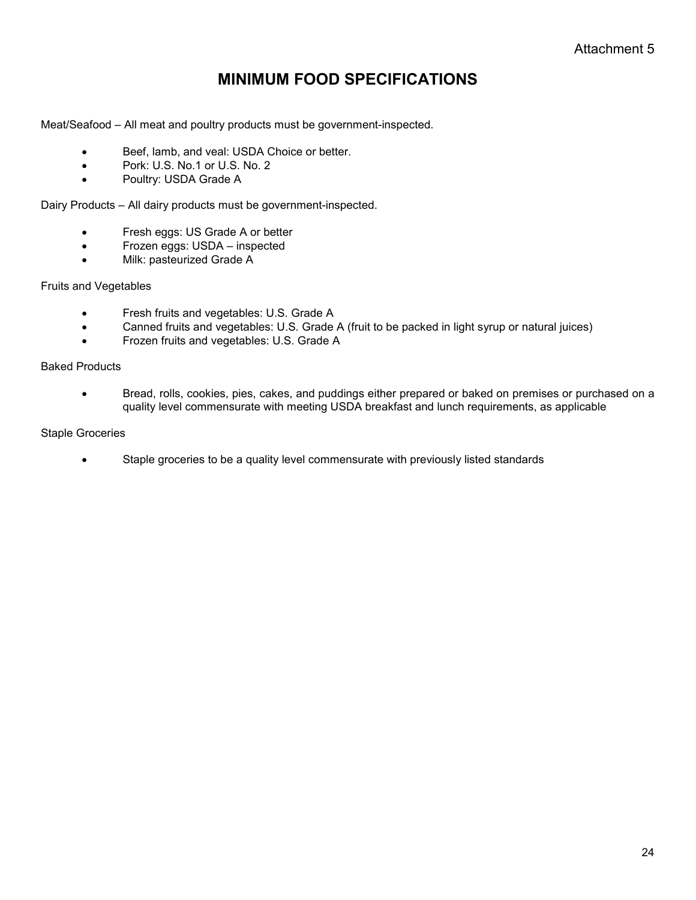## **MINIMUM FOOD SPECIFICATIONS**

Meat/Seafood – All meat and poultry products must be government-inspected.

- Beef, lamb, and veal: USDA Choice or better.
- Pork: U.S. No.1 or U.S. No. 2
- Poultry: USDA Grade A

Dairy Products – All dairy products must be government-inspected.

- Fresh eggs: US Grade A or better
- Frozen eggs: USDA inspected
- Milk: pasteurized Grade A

#### Fruits and Vegetables

- **•** Fresh fruits and vegetables: U.S. Grade A
- Canned fruits and vegetables: U.S. Grade A (fruit to be packed in light syrup or natural juices)
- Frozen fruits and vegetables: U.S. Grade A

#### Baked Products

 Bread, rolls, cookies, pies, cakes, and puddings either prepared or baked on premises or purchased on a quality level commensurate with meeting USDA breakfast and lunch requirements, as applicable

#### Staple Groceries

Staple groceries to be a quality level commensurate with previously listed standards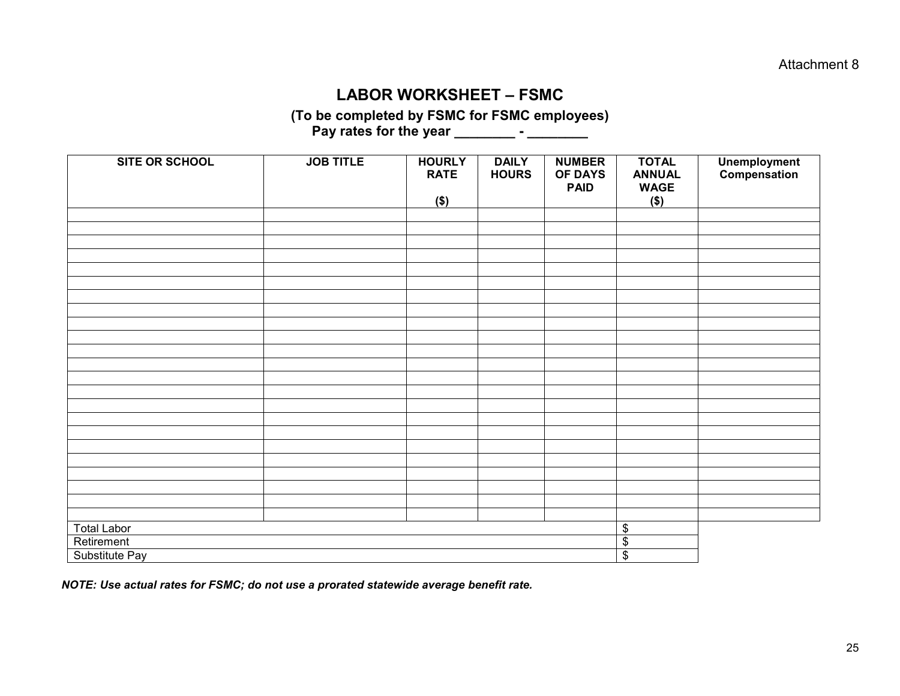#### **LABOR WORKSHEET – FSMC**

**(To be completed by FSMC for FSMC employees) Pay rates for the year \_\_\_\_\_\_\_\_ - \_\_\_\_\_\_\_\_** 

| <b>SITE OR SCHOOL</b> | <b>JOB TITLE</b> | <b>HOURLY</b><br><b>RATE</b><br>$($ \$) | <b>DAILY</b><br><b>HOURS</b> | <b>NUMBER</b><br><b>OF DAYS</b><br><b>PAID</b> | <b>TOTAL</b><br><b>ANNUAL</b><br><b>WAGE</b><br>$($)$ | <b>Unemployment</b><br>Compensation |
|-----------------------|------------------|-----------------------------------------|------------------------------|------------------------------------------------|-------------------------------------------------------|-------------------------------------|
|                       |                  |                                         |                              |                                                |                                                       |                                     |
|                       |                  |                                         |                              |                                                |                                                       |                                     |
|                       |                  |                                         |                              |                                                |                                                       |                                     |
|                       |                  |                                         |                              |                                                |                                                       |                                     |
|                       |                  |                                         |                              |                                                |                                                       |                                     |
|                       |                  |                                         |                              |                                                |                                                       |                                     |
|                       |                  |                                         |                              |                                                |                                                       |                                     |
|                       |                  |                                         |                              |                                                |                                                       |                                     |
|                       |                  |                                         |                              |                                                |                                                       |                                     |
|                       |                  |                                         |                              |                                                |                                                       |                                     |
|                       |                  |                                         |                              |                                                |                                                       |                                     |
|                       |                  |                                         |                              |                                                |                                                       |                                     |
|                       |                  |                                         |                              |                                                |                                                       |                                     |
|                       |                  |                                         |                              |                                                |                                                       |                                     |
|                       |                  |                                         |                              |                                                |                                                       |                                     |
|                       |                  |                                         |                              |                                                |                                                       |                                     |
|                       |                  |                                         |                              |                                                |                                                       |                                     |
|                       |                  |                                         |                              |                                                |                                                       |                                     |
|                       |                  |                                         |                              |                                                |                                                       |                                     |
|                       |                  |                                         |                              |                                                |                                                       |                                     |
|                       |                  |                                         |                              |                                                |                                                       |                                     |
|                       |                  |                                         |                              |                                                |                                                       |                                     |
|                       |                  |                                         |                              |                                                |                                                       |                                     |
| <b>Total Labor</b>    |                  |                                         |                              |                                                | \$                                                    |                                     |
| Retirement            |                  |                                         |                              |                                                | $\overline{\mathbf{e}}$                               |                                     |
| Substitute Pay        | \$               |                                         |                              |                                                |                                                       |                                     |

*NOTE: Use actual rates for FSMC; do not use a prorated statewide average benefit rate.*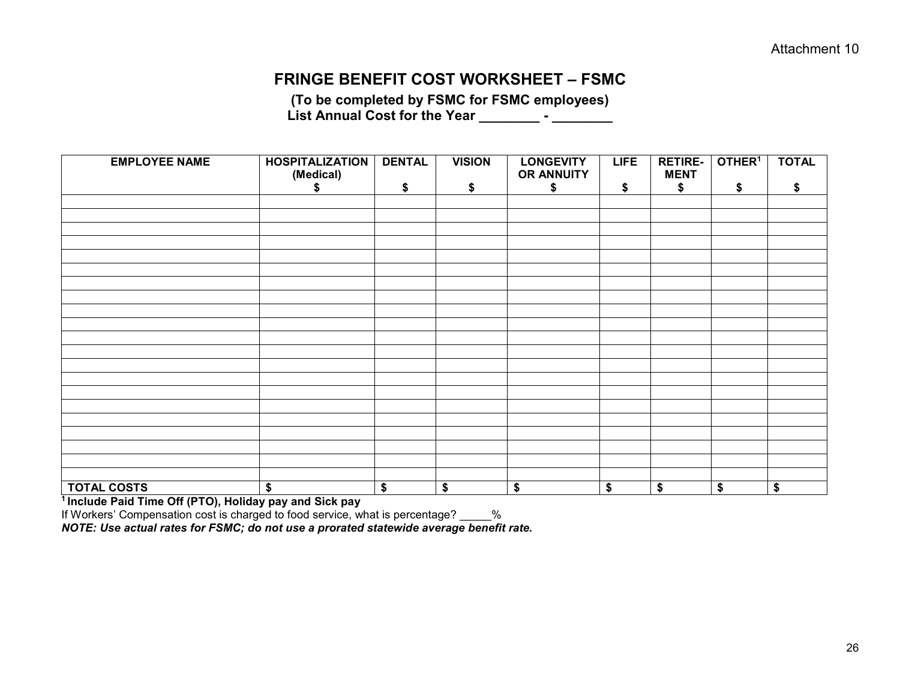#### **FRINGE BENEFIT COST WORKSHEET – FSMC**

**(To be completed by FSMC for FSMC employees) List Annual Cost for the Year \_\_\_\_\_\_\_\_ - \_\_\_\_\_\_\_\_** 

| <b>EMPLOYEE NAME</b> | <b>HOSPITALIZATION</b><br>(Medical) | <b>DENTAL</b> | <b>VISION</b> | <b>LONGEVITY</b><br>OR ANNUITY       | <b>LIFE</b> | <b>RETIRE-</b><br><b>MENT</b> | OTHER <sup>1</sup> | <b>TOTAL</b>                         |
|----------------------|-------------------------------------|---------------|---------------|--------------------------------------|-------------|-------------------------------|--------------------|--------------------------------------|
|                      | æ.                                  | \$            | \$            | \$                                   | \$          | \$                            | \$                 | S                                    |
|                      |                                     |               |               |                                      |             |                               |                    |                                      |
|                      |                                     |               |               |                                      |             |                               |                    |                                      |
|                      |                                     |               |               |                                      |             |                               |                    |                                      |
|                      |                                     |               |               |                                      |             |                               |                    |                                      |
|                      |                                     |               |               |                                      |             |                               |                    |                                      |
|                      |                                     |               |               |                                      |             |                               |                    |                                      |
|                      |                                     |               |               |                                      |             |                               |                    |                                      |
|                      |                                     |               |               |                                      |             |                               |                    |                                      |
|                      |                                     |               |               |                                      |             |                               |                    |                                      |
|                      |                                     |               |               |                                      |             |                               |                    |                                      |
|                      |                                     |               |               |                                      |             |                               |                    |                                      |
|                      |                                     |               |               |                                      |             |                               |                    |                                      |
|                      |                                     |               |               |                                      |             |                               |                    |                                      |
|                      |                                     |               |               |                                      |             |                               |                    |                                      |
|                      |                                     |               |               |                                      |             |                               |                    |                                      |
|                      |                                     |               |               |                                      |             |                               |                    |                                      |
|                      |                                     |               |               |                                      |             |                               |                    |                                      |
|                      |                                     |               |               |                                      |             |                               |                    |                                      |
|                      |                                     |               |               |                                      |             |                               |                    |                                      |
|                      |                                     |               |               |                                      |             |                               |                    |                                      |
|                      |                                     |               |               |                                      |             |                               |                    |                                      |
| <b>TOTAL COSTS</b>   | \$                                  | \$            | \$            | $\overline{\boldsymbol{\mathsf{s}}}$ | \$          | \$                            | \$                 | $\overline{\boldsymbol{\mathsf{s}}}$ |

**1 Include Paid Time Off (PTO), Holiday pay and Sick pay** 

If Workers' Compensation cost is charged to food service, what is percentage? \_\_\_\_\_%

*NOTE: Use actual rates for FSMC; do not use a prorated statewide average benefit rate.*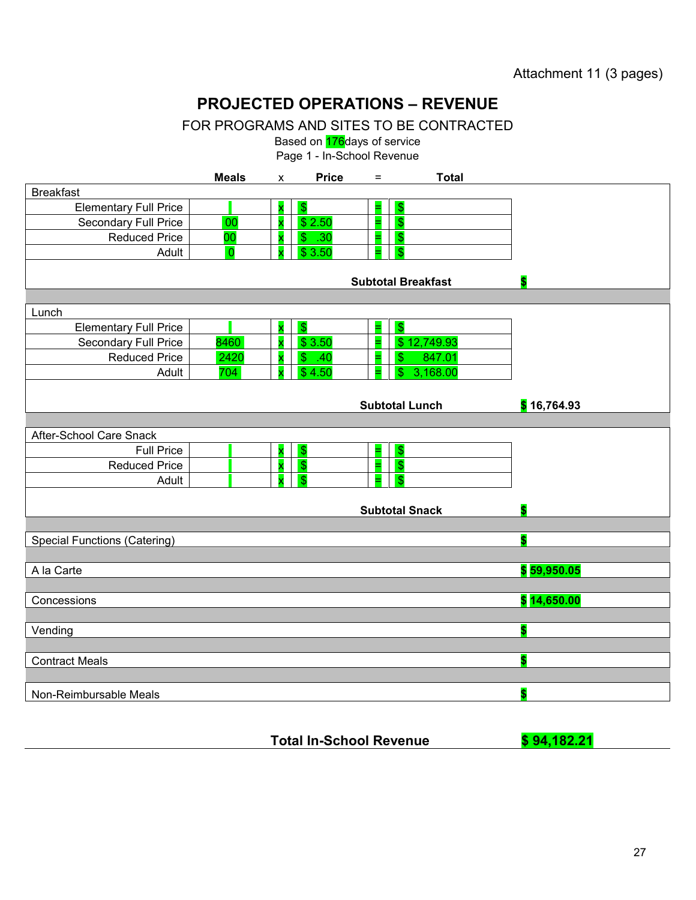Attachment 11 (3 pages)

## **PROJECTED OPERATIONS – REVENUE**

FOR PROGRAMS AND SITES TO BE CONTRACTED

Based on **176** days of service

Page 1 - In-School Revenue

|                                     | <b>Meals</b>   | X | <b>Price</b>           | $=$                       | <b>Total</b> |                         |
|-------------------------------------|----------------|---|------------------------|---------------------------|--------------|-------------------------|
| <b>Breakfast</b>                    |                |   |                        |                           |              |                         |
| <b>Elementary Full Price</b>        |                |   | $\boldsymbol{\hat{s}}$ | $\frac{1}{2}$             |              |                         |
| Secondary Full Price                | 00             |   | \$2.50                 | $\sqrt{3}$<br>=           |              |                         |
| <b>Reduced Price</b>                | 00             |   | \$.30                  | $\sqrt{3}$<br>$=$         |              |                         |
| Adult                               | $\overline{0}$ |   | \$3.50                 | $\sqrt{3}$                |              |                         |
|                                     |                |   |                        | <b>Subtotal Breakfast</b> |              | $\overline{\mathbf{s}}$ |
| Lunch                               |                |   |                        |                           |              |                         |
| <b>Elementary Full Price</b>        |                |   | $\sqrt{3}$             | $\sqrt{3}$<br>=           |              |                         |
| <b>Secondary Full Price</b>         | 8460           |   | \$3.50                 |                           | \$12,749.93  |                         |
| <b>Reduced Price</b>                | 2420           |   | \$.40                  | \$                        | 847.01       |                         |
| Adult                               | 704            |   | \$4.50                 | \$                        | 3,168.00     |                         |
|                                     |                |   |                        |                           |              |                         |
|                                     |                |   |                        | <b>Subtotal Lunch</b>     |              | \$16,764.93             |
|                                     |                |   |                        |                           |              |                         |
| After-School Care Snack             |                |   |                        |                           |              |                         |
| <b>Full Price</b>                   |                |   | $\sqrt{3}$             | $\sqrt{3}$<br>Ξ.          |              |                         |
| <b>Reduced Price</b>                |                | X | $\sqrt{3}$             | $\sqrt{3}$<br>н           |              |                         |
| Adult                               |                |   | $\mathbf{\hat{s}}$     | $\mathbf{s}$              |              |                         |
|                                     |                |   |                        |                           |              |                         |
|                                     |                |   |                        | <b>Subtotal Snack</b>     |              | $\overline{\mathbf{s}}$ |
|                                     |                |   |                        |                           |              |                         |
| <b>Special Functions (Catering)</b> |                |   |                        |                           |              | \$                      |
| A la Carte                          |                |   |                        |                           |              | \$59,950.05             |
|                                     |                |   |                        |                           |              |                         |
| Concessions                         |                |   |                        |                           |              | \$14,650.00             |
|                                     |                |   |                        |                           |              |                         |
| Vending                             |                |   |                        |                           |              | $\overline{\mathbf{s}}$ |
|                                     |                |   |                        |                           |              |                         |
| <b>Contract Meals</b>               |                |   |                        |                           |              | \$                      |
|                                     |                |   |                        |                           |              |                         |
| Non-Reimbursable Meals              |                |   |                        |                           |              | $\overline{\mathbf{s}}$ |
|                                     |                |   |                        |                           |              |                         |

| <b>Total In-School Revenue</b> | \$94,182.21 |
|--------------------------------|-------------|
|--------------------------------|-------------|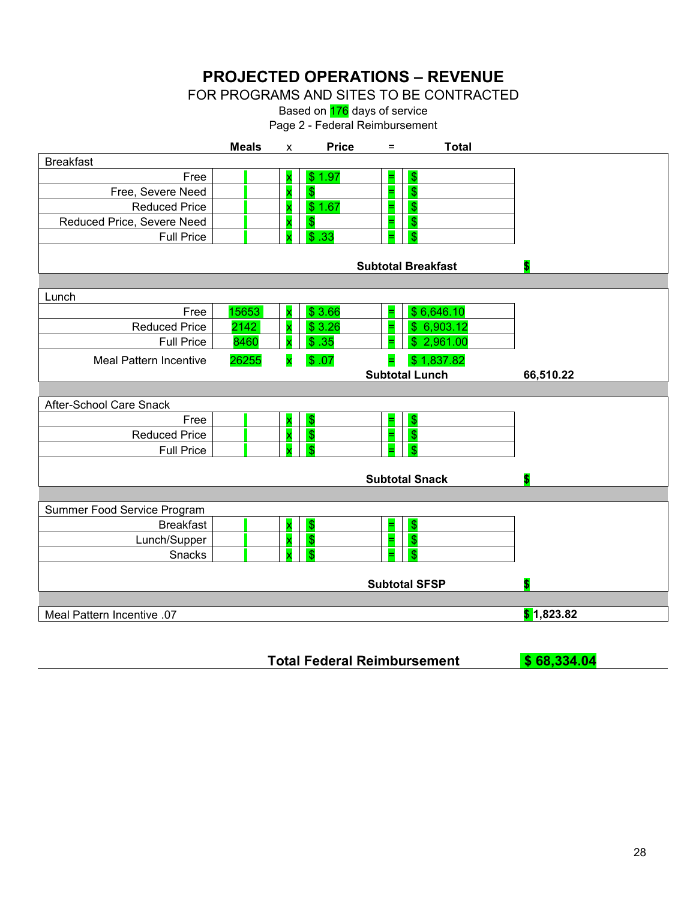**PROJECTED OPERATIONS – REVENUE** 

FOR PROGRAMS AND SITES TO BE CONTRACTED

Based on **176** days of service

Page 2 - Federal Reimbursement

|                               | <b>Meals</b> | $\mathsf{x}$ | <b>Price</b>       | $=$ | <b>Total</b>              |            |
|-------------------------------|--------------|--------------|--------------------|-----|---------------------------|------------|
| <b>Breakfast</b>              |              |              |                    |     |                           |            |
| Free                          |              |              | \$1.97             | =   | $\frac{1}{2}$             |            |
| Free, Severe Need             |              |              | $\sqrt{3}$         | Ξ   | $\mathfrak{S}$            |            |
| <b>Reduced Price</b>          |              |              | \$1.67             |     | $\frac{1}{2}$             |            |
| Reduced Price, Severe Need    |              |              | $\mathbf{\hat{S}}$ |     | $\mathbf{\$}$             |            |
| <b>Full Price</b>             |              |              | \$.33              |     | £.                        |            |
|                               |              |              |                    |     |                           |            |
|                               |              |              |                    |     | <b>Subtotal Breakfast</b> | \$         |
| Lunch                         |              |              |                    |     |                           |            |
| Free                          | 15653        |              | \$3.66             | Ξ.  | \$6,646.10                |            |
| <b>Reduced Price</b>          | 2142         |              | \$3.26             |     | \$6,903.12                |            |
| <b>Full Price</b>             | 8460         |              | \$.35              |     | \$2,961.00                |            |
| <b>Meal Pattern Incentive</b> | 26255        | x            | \$.07              | ۳   | \$1,837.82                |            |
|                               |              |              |                    |     | <b>Subtotal Lunch</b>     | 66,510.22  |
|                               |              |              |                    |     |                           |            |
| After-School Care Snack       |              |              |                    |     |                           |            |
| Free                          |              |              | $\sqrt{3}$         | Ξ   | $\sqrt{3}$                |            |
| <b>Reduced Price</b>          |              |              | $\sqrt{3}$         |     | $\frac{1}{2}$             |            |
| <b>Full Price</b>             |              |              | \$.                |     | \$.                       |            |
|                               |              |              |                    |     |                           |            |
|                               |              |              |                    |     | <b>Subtotal Snack</b>     |            |
| Summer Food Service Program   |              |              |                    |     |                           |            |
| <b>Breakfast</b>              |              |              | $\sqrt{3}$         | Ξ   | $\frac{1}{2}$             |            |
| Lunch/Supper                  |              |              | $\sqrt{3}$         |     | $\frac{1}{2}$             |            |
| Snacks                        |              |              | -\$                |     | £.                        |            |
|                               |              |              |                    |     |                           |            |
|                               |              |              |                    |     | <b>Subtotal SFSP</b>      | \$         |
|                               |              |              |                    |     |                           |            |
| Meal Pattern Incentive .07    |              |              |                    |     |                           | \$1,823.82 |
|                               |              |              |                    |     |                           |            |

**Total Federal Reimbursement \$ 68,334.04**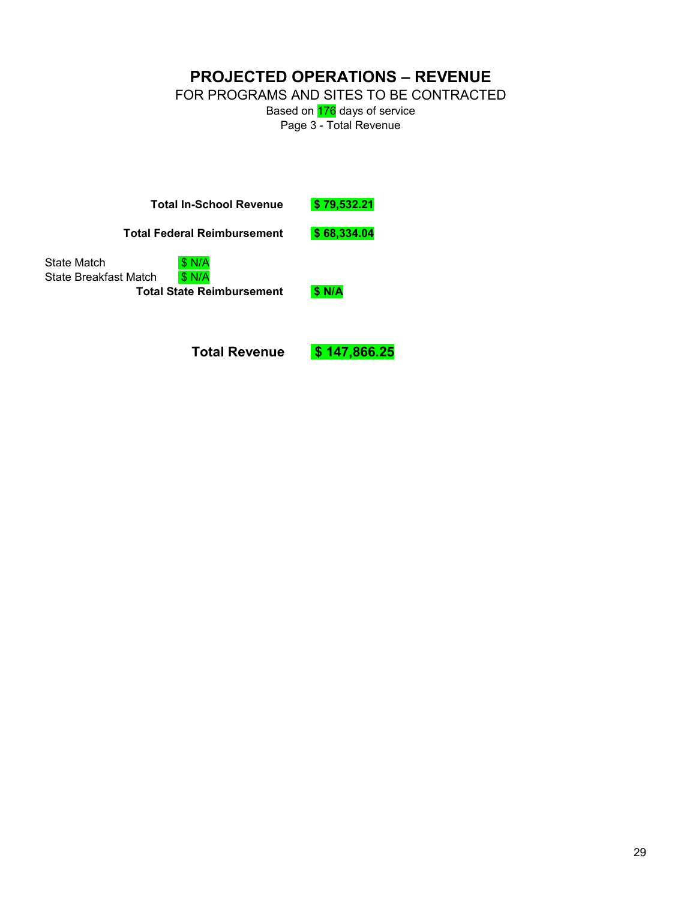**PROJECTED OPERATIONS – REVENUE** 

FOR PROGRAMS AND SITES TO BE CONTRACTED

Based on **176** days of service Page 3 - Total Revenue

**Total In-School Revenue \$ 79,532.21** 

**Total Federal Reimbursement \$ 68,334.04** 

State Match \$ N/A State Breakfast Match \$ N/A **Total State Reimbursement \$ N/A**

**Total Revenue \$ 147,866.25**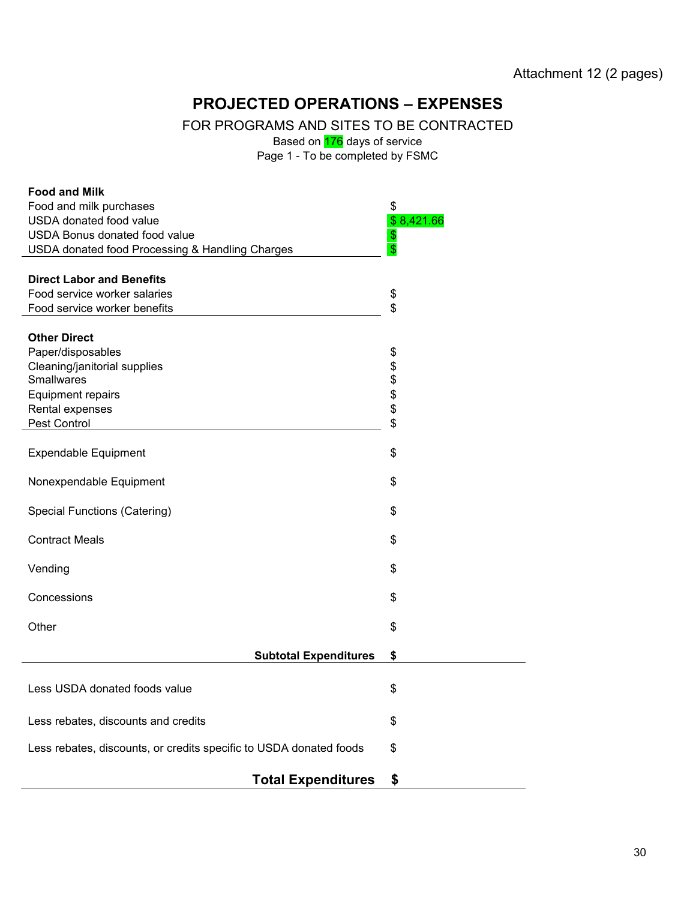## **PROJECTED OPERATIONS – EXPENSES**

FOR PROGRAMS AND SITES TO BE CONTRACTED

Based on **176** days of service

Page 1 - To be completed by FSMC

| <b>Food and Milk</b>                                               |                         |
|--------------------------------------------------------------------|-------------------------|
| Food and milk purchases                                            | \$                      |
| USDA donated food value                                            | \$8,421.66              |
| <b>USDA Bonus donated food value</b>                               | $\boldsymbol{\theta}$   |
| USDA donated food Processing & Handling Charges                    | $\overline{\mathbb{S}}$ |
|                                                                    |                         |
| <b>Direct Labor and Benefits</b>                                   |                         |
| Food service worker salaries                                       | \$                      |
| Food service worker benefits                                       | \$                      |
|                                                                    |                         |
| <b>Other Direct</b>                                                |                         |
| Paper/disposables                                                  | \$                      |
| Cleaning/janitorial supplies                                       |                         |
| <b>Smallwares</b>                                                  |                         |
| <b>Equipment repairs</b>                                           | \$\$\$                  |
| Rental expenses                                                    |                         |
|                                                                    | \$                      |
| Pest Control                                                       |                         |
|                                                                    |                         |
| <b>Expendable Equipment</b>                                        | \$                      |
|                                                                    |                         |
| Nonexpendable Equipment                                            | \$                      |
|                                                                    |                         |
| <b>Special Functions (Catering)</b>                                | \$                      |
|                                                                    |                         |
| <b>Contract Meals</b>                                              | \$                      |
|                                                                    |                         |
| Vending                                                            | \$                      |
|                                                                    |                         |
| Concessions                                                        | \$                      |
|                                                                    |                         |
| Other                                                              | \$                      |
|                                                                    |                         |
| <b>Subtotal Expenditures</b>                                       | \$                      |
|                                                                    |                         |
| Less USDA donated foods value                                      | \$                      |
|                                                                    |                         |
|                                                                    |                         |
| Less rebates, discounts and credits                                | \$                      |
| Less rebates, discounts, or credits specific to USDA donated foods | \$                      |
|                                                                    |                         |
|                                                                    |                         |
| <b>Total Expenditures</b>                                          | \$                      |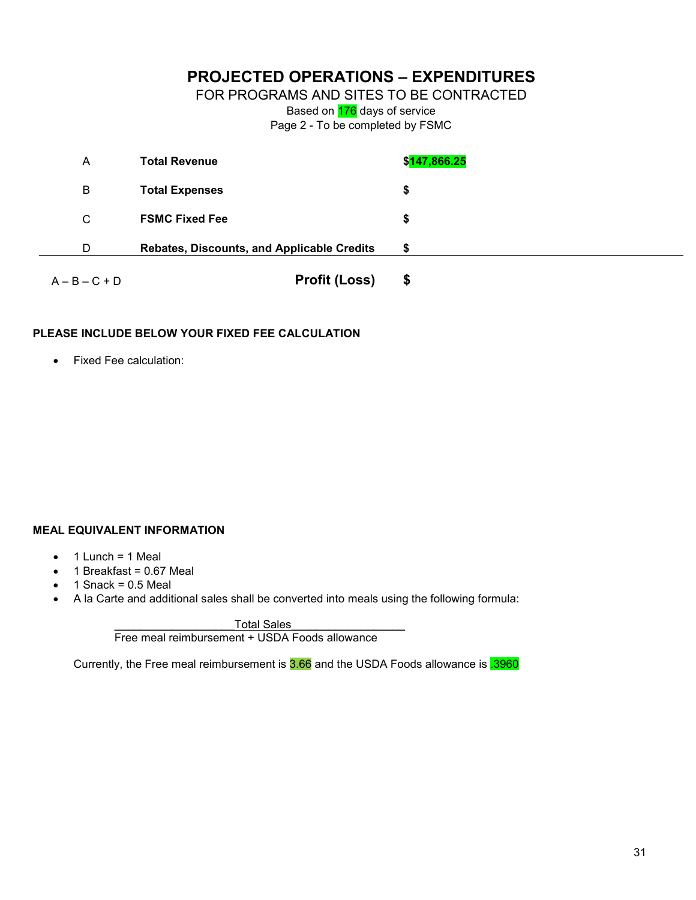#### **PROJECTED OPERATIONS – EXPENDITURES**

FOR PROGRAMS AND SITES TO BE CONTRACTED

Based on 176 days of service

Page 2 - To be completed by FSMC

| A               | <b>Total Revenue</b>                       | \$ <mark>147,866.25</mark> |
|-----------------|--------------------------------------------|----------------------------|
| B               | <b>Total Expenses</b>                      | \$                         |
| C               | <b>FSMC Fixed Fee</b>                      | \$                         |
| D               | Rebates, Discounts, and Applicable Credits | \$                         |
| $A - B - C + D$ | <b>Profit (Loss)</b>                       | \$                         |

#### **PLEASE INCLUDE BELOW YOUR FIXED FEE CALCULATION**

• Fixed Fee calculation:

#### **MEAL EQUIVALENT INFORMATION**

- $\bullet$  1 Lunch = 1 Meal
- $\bullet$  1 Breakfast = 0.67 Meal
- $\bullet$  1 Snack = 0.5 Meal
- A la Carte and additional sales shall be converted into meals using the following formula:

Total Sales Free meal reimbursement + USDA Foods allowance

Currently, the Free meal reimbursement is 3.66 and the USDA Foods allowance is 3960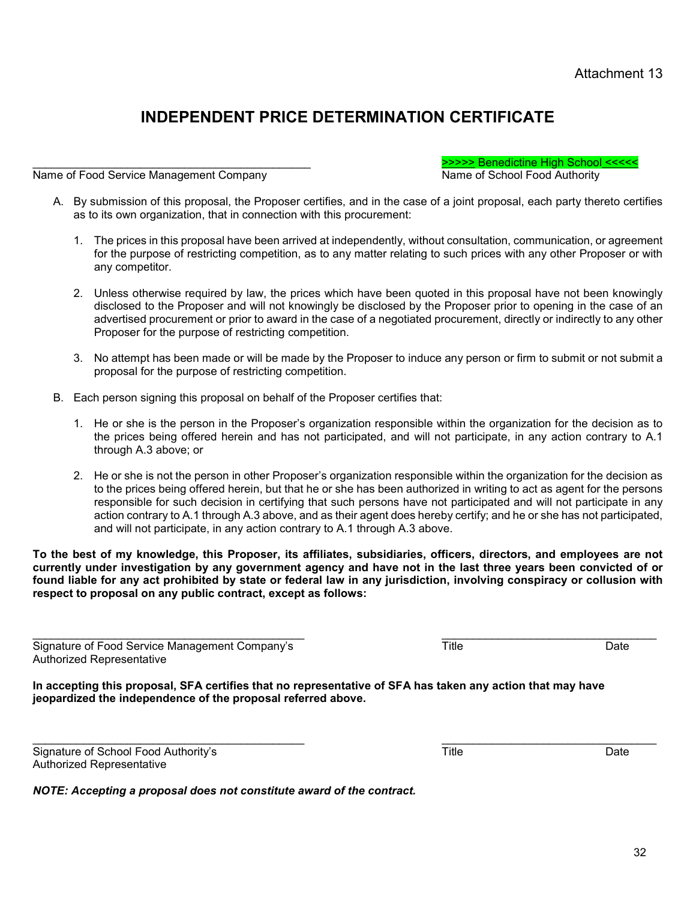## **INDEPENDENT PRICE DETERMINATION CERTIFICATE**

Name of Food Service Management Company

\_\_\_\_\_\_\_\_\_\_\_\_\_\_\_\_\_\_\_\_\_\_\_\_\_\_\_\_\_\_\_\_\_\_\_\_\_\_\_\_\_\_\_\_ >>>>> Benedictine High School <<<<<

- A. By submission of this proposal, the Proposer certifies, and in the case of a joint proposal, each party thereto certifies as to its own organization, that in connection with this procurement:
	- 1. The prices in this proposal have been arrived at independently, without consultation, communication, or agreement for the purpose of restricting competition, as to any matter relating to such prices with any other Proposer or with any competitor.
	- 2. Unless otherwise required by law, the prices which have been quoted in this proposal have not been knowingly disclosed to the Proposer and will not knowingly be disclosed by the Proposer prior to opening in the case of an advertised procurement or prior to award in the case of a negotiated procurement, directly or indirectly to any other Proposer for the purpose of restricting competition.
	- 3. No attempt has been made or will be made by the Proposer to induce any person or firm to submit or not submit a proposal for the purpose of restricting competition.
- B. Each person signing this proposal on behalf of the Proposer certifies that:
	- 1. He or she is the person in the Proposer's organization responsible within the organization for the decision as to the prices being offered herein and has not participated, and will not participate, in any action contrary to A.1 through A.3 above; or
	- 2. He or she is not the person in other Proposer's organization responsible within the organization for the decision as to the prices being offered herein, but that he or she has been authorized in writing to act as agent for the persons responsible for such decision in certifying that such persons have not participated and will not participate in any action contrary to A.1 through A.3 above, and as their agent does hereby certify; and he or she has not participated, and will not participate, in any action contrary to A.1 through A.3 above.

**To the best of my knowledge, this Proposer, its affiliates, subsidiaries, officers, directors, and employees are not currently under investigation by any government agency and have not in the last three years been convicted of or found liable for any act prohibited by state or federal law in any jurisdiction, involving conspiracy or collusion with respect to proposal on any public contract, except as follows:** 

\_\_\_\_\_\_\_\_\_\_\_\_\_\_\_\_\_\_\_\_\_\_\_\_\_\_\_\_\_\_\_\_\_\_\_\_\_\_\_\_\_\_\_ \_\_\_\_\_\_\_\_\_\_\_\_\_\_\_\_\_\_\_\_\_\_\_\_\_\_\_\_\_\_\_\_\_\_ Signature of Food Service Management Company's Title Title Title Date Authorized Representative

**In accepting this proposal, SFA certifies that no representative of SFA has taken any action that may have jeopardized the independence of the proposal referred above.** 

Signature of School Food Authority's **Example 2018** Title **The Contract Contract Contract Contract Contract Contract Contract Contract Contract Contract Contract Contract Contract Contract Contract Contract Contract Contra** Authorized Representative

*NOTE: Accepting a proposal does not constitute award of the contract.*

\_\_\_\_\_\_\_\_\_\_\_\_\_\_\_\_\_\_\_\_\_\_\_\_\_\_\_\_\_\_\_\_\_\_\_\_\_\_\_\_\_\_\_ \_\_\_\_\_\_\_\_\_\_\_\_\_\_\_\_\_\_\_\_\_\_\_\_\_\_\_\_\_\_\_\_\_\_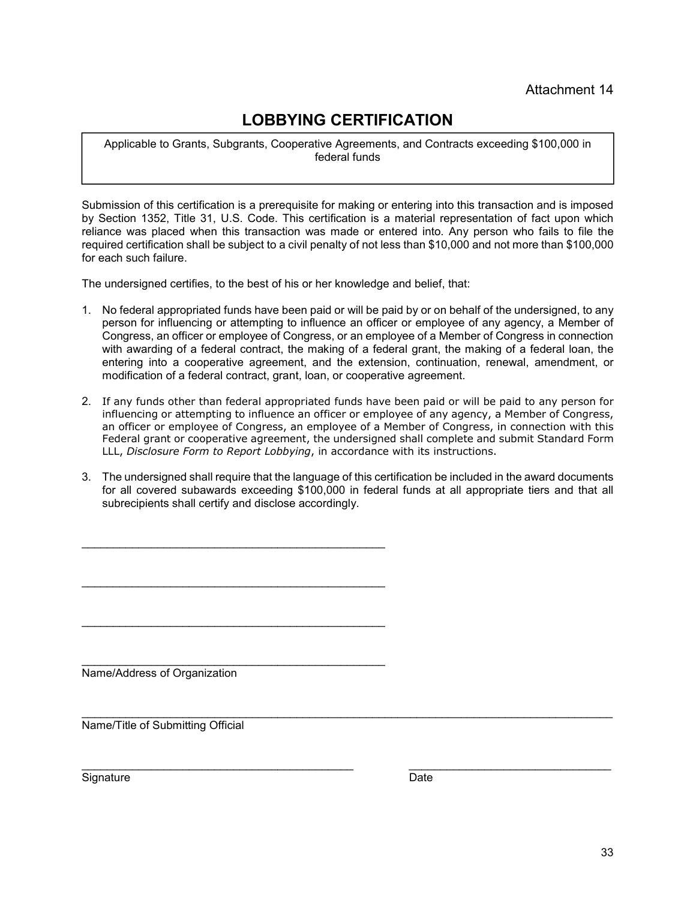## **LOBBYING CERTIFICATION**

Applicable to Grants, Subgrants, Cooperative Agreements, and Contracts exceeding \$100,000 in federal funds

Submission of this certification is a prerequisite for making or entering into this transaction and is imposed by Section 1352, Title 31, U.S. Code. This certification is a material representation of fact upon which reliance was placed when this transaction was made or entered into. Any person who fails to file the required certification shall be subject to a civil penalty of not less than \$10,000 and not more than \$100,000 for each such failure.

The undersigned certifies, to the best of his or her knowledge and belief, that:

\_\_\_\_\_\_\_\_\_\_\_\_\_\_\_\_\_\_\_\_\_\_\_\_\_\_\_\_\_\_\_\_\_\_\_\_\_\_\_\_\_\_\_\_\_\_\_\_

\_\_\_\_\_\_\_\_\_\_\_\_\_\_\_\_\_\_\_\_\_\_\_\_\_\_\_\_\_\_\_\_\_\_\_\_\_\_\_\_\_\_\_\_\_\_\_\_

\_\_\_\_\_\_\_\_\_\_\_\_\_\_\_\_\_\_\_\_\_\_\_\_\_\_\_\_\_\_\_\_\_\_\_\_\_\_\_\_\_\_\_\_\_\_\_\_

- 1. No federal appropriated funds have been paid or will be paid by or on behalf of the undersigned, to any person for influencing or attempting to influence an officer or employee of any agency, a Member of Congress, an officer or employee of Congress, or an employee of a Member of Congress in connection with awarding of a federal contract, the making of a federal grant, the making of a federal loan, the entering into a cooperative agreement, and the extension, continuation, renewal, amendment, or modification of a federal contract, grant, loan, or cooperative agreement.
- 2. If any funds other than federal appropriated funds have been paid or will be paid to any person for influencing or attempting to influence an officer or employee of any agency, a Member of Congress, an officer or employee of Congress, an employee of a Member of Congress, in connection with this Federal grant or cooperative agreement, the undersigned shall complete and submit Standard Form LLL, *Disclosure Form to Report Lobbying*, in accordance with its instructions.
- 3. The undersigned shall require that the language of this certification be included in the award documents for all covered subawards exceeding \$100,000 in federal funds at all appropriate tiers and that all subrecipients shall certify and disclose accordingly.

\_\_\_\_\_\_\_\_\_\_\_\_\_\_\_\_\_\_\_\_\_\_\_\_\_\_\_\_\_\_\_\_\_\_\_\_\_\_\_\_\_\_\_\_\_\_\_\_ Name/Address of Organization

\_\_\_\_\_\_\_\_\_\_\_\_\_\_\_\_\_\_\_\_\_\_\_\_\_\_\_\_\_\_\_\_\_\_\_\_\_\_\_\_\_\_\_\_\_\_\_\_\_\_\_\_\_\_\_\_\_\_\_\_\_\_\_\_\_\_\_\_\_\_\_\_\_\_\_\_\_\_\_\_\_\_\_\_ Name/Title of Submitting Official

Signature Date

\_\_\_\_\_\_\_\_\_\_\_\_\_\_\_\_\_\_\_\_\_\_\_\_\_\_\_\_\_\_\_\_\_\_\_\_\_\_\_\_\_\_\_ \_\_\_\_\_\_\_\_\_\_\_\_\_\_\_\_\_\_\_\_\_\_\_\_\_\_\_\_\_\_\_\_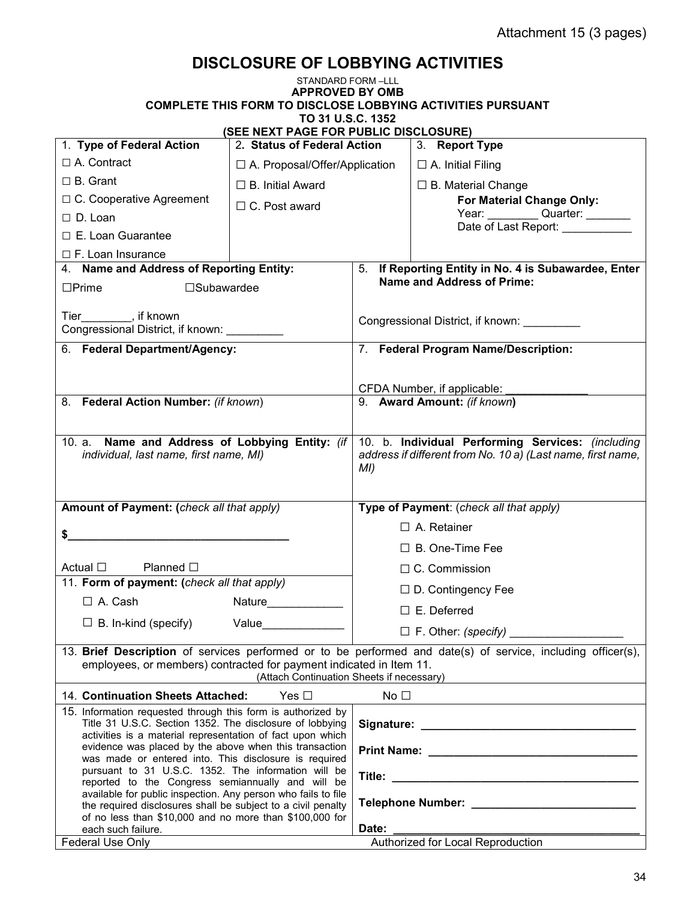## **DISCLOSURE OF LOBBYING ACTIVITIES**

| STANDARD FORM-LLL                                                                                                                                                                      |                                           |                                                                                                                         |                                                                                                              |  |  |  |  |
|----------------------------------------------------------------------------------------------------------------------------------------------------------------------------------------|-------------------------------------------|-------------------------------------------------------------------------------------------------------------------------|--------------------------------------------------------------------------------------------------------------|--|--|--|--|
|                                                                                                                                                                                        | <b>APPROVED BY OMB</b>                    |                                                                                                                         |                                                                                                              |  |  |  |  |
| <b>COMPLETE THIS FORM TO DISCLOSE LOBBYING ACTIVITIES PURSUANT</b><br>TO 31 U.S.C. 1352                                                                                                |                                           |                                                                                                                         |                                                                                                              |  |  |  |  |
| (SEE NEXT PAGE FOR PUBLIC DISCLOSURE)                                                                                                                                                  |                                           |                                                                                                                         |                                                                                                              |  |  |  |  |
| 1. Type of Federal Action                                                                                                                                                              | 2. Status of Federal Action               |                                                                                                                         | 3. Report Type                                                                                               |  |  |  |  |
| □ A. Contract                                                                                                                                                                          | $\Box$ A. Proposal/Offer/Application      |                                                                                                                         | $\Box$ A. Initial Filing                                                                                     |  |  |  |  |
| $\Box$ B. Grant                                                                                                                                                                        | $\Box$ B. Initial Award                   |                                                                                                                         | $\Box$ B. Material Change                                                                                    |  |  |  |  |
| □ C. Cooperative Agreement                                                                                                                                                             | $\Box$ C. Post award                      |                                                                                                                         | For Material Change Only:                                                                                    |  |  |  |  |
| $\Box$ D. Loan                                                                                                                                                                         |                                           |                                                                                                                         | Year: Quarter: ________<br>Date of Last Report:                                                              |  |  |  |  |
| $\Box$ E. Loan Guarantee                                                                                                                                                               |                                           |                                                                                                                         |                                                                                                              |  |  |  |  |
| $\Box$ F. Loan Insurance                                                                                                                                                               |                                           |                                                                                                                         |                                                                                                              |  |  |  |  |
| 4. Name and Address of Reporting Entity:                                                                                                                                               |                                           |                                                                                                                         | 5. If Reporting Entity in No. 4 is Subawardee, Enter<br><b>Name and Address of Prime:</b>                    |  |  |  |  |
| $\square$ Prime<br>$\square$ Subawardee                                                                                                                                                |                                           |                                                                                                                         |                                                                                                              |  |  |  |  |
| Tier ________, if known<br>Congressional District, if known:                                                                                                                           |                                           |                                                                                                                         | Congressional District, if known:                                                                            |  |  |  |  |
| 6. Federal Department/Agency:                                                                                                                                                          |                                           |                                                                                                                         | 7. Federal Program Name/Description:                                                                         |  |  |  |  |
|                                                                                                                                                                                        |                                           |                                                                                                                         |                                                                                                              |  |  |  |  |
|                                                                                                                                                                                        |                                           |                                                                                                                         | CFDA Number, if applicable:                                                                                  |  |  |  |  |
| 8. Federal Action Number: (if known)                                                                                                                                                   |                                           | 9. Award Amount: (if known)                                                                                             |                                                                                                              |  |  |  |  |
|                                                                                                                                                                                        |                                           |                                                                                                                         |                                                                                                              |  |  |  |  |
| 10. a. Name and Address of Lobbying Entity: (if<br>individual, last name, first name, MI)                                                                                              |                                           | 10. b. Individual Performing Services: (including<br>address if different from No. 10 a) (Last name, first name,<br>MI) |                                                                                                              |  |  |  |  |
| Amount of Payment: (check all that apply)                                                                                                                                              |                                           |                                                                                                                         | Type of Payment: (check all that apply)                                                                      |  |  |  |  |
|                                                                                                                                                                                        |                                           |                                                                                                                         | $\Box$ A. Retainer                                                                                           |  |  |  |  |
| \$<br><u> 1980 - Jan Stein, amerikansk politiker (d. 1980)</u>                                                                                                                         |                                           | $\Box$ B. One-Time Fee                                                                                                  |                                                                                                              |  |  |  |  |
| Actual $\Box$<br>Planned $\Box$                                                                                                                                                        |                                           | $\Box$ C. Commission                                                                                                    |                                                                                                              |  |  |  |  |
| 11. Form of payment: (check all that apply)                                                                                                                                            |                                           | $\Box$ D. Contingency Fee                                                                                               |                                                                                                              |  |  |  |  |
| $\Box$ A. Cash                                                                                                                                                                         |                                           |                                                                                                                         |                                                                                                              |  |  |  |  |
| $\Box$ B. In-kind (specify)                                                                                                                                                            | Value_____________                        |                                                                                                                         | $\square$ E. Deferred                                                                                        |  |  |  |  |
|                                                                                                                                                                                        |                                           |                                                                                                                         |                                                                                                              |  |  |  |  |
| employees, or members) contracted for payment indicated in Item 11.                                                                                                                    | (Attach Continuation Sheets if necessary) |                                                                                                                         | 13. Brief Description of services performed or to be performed and date(s) of service, including officer(s), |  |  |  |  |
| 14. Continuation Sheets Attached:                                                                                                                                                      | Yes $\Box$                                | No $\Box$                                                                                                               |                                                                                                              |  |  |  |  |
| 15. Information requested through this form is authorized by<br>Title 31 U.S.C. Section 1352. The disclosure of lobbying<br>activities is a material representation of fact upon which |                                           |                                                                                                                         |                                                                                                              |  |  |  |  |
| evidence was placed by the above when this transaction<br>was made or entered into. This disclosure is required                                                                        |                                           |                                                                                                                         |                                                                                                              |  |  |  |  |
| pursuant to 31 U.S.C. 1352. The information will be                                                                                                                                    |                                           |                                                                                                                         |                                                                                                              |  |  |  |  |
| reported to the Congress semiannually and will be<br>available for public inspection. Any person who fails to file<br>the required disclosures shall be subject to a civil penalty     |                                           |                                                                                                                         |                                                                                                              |  |  |  |  |
| of no less than \$10,000 and no more than \$100,000 for<br>each such failure.                                                                                                          |                                           | Date:                                                                                                                   |                                                                                                              |  |  |  |  |
| Federal Use Only                                                                                                                                                                       |                                           | Authorized for Local Reproduction                                                                                       |                                                                                                              |  |  |  |  |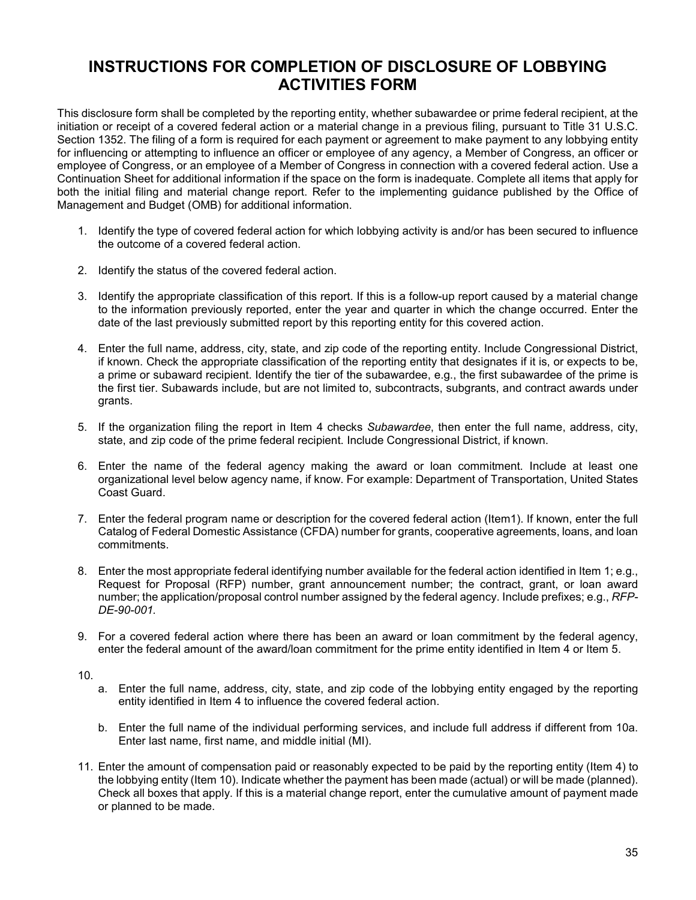#### **INSTRUCTIONS FOR COMPLETION OF DISCLOSURE OF LOBBYING ACTIVITIES FORM**

This disclosure form shall be completed by the reporting entity, whether subawardee or prime federal recipient, at the initiation or receipt of a covered federal action or a material change in a previous filing, pursuant to Title 31 U.S.C. Section 1352. The filing of a form is required for each payment or agreement to make payment to any lobbying entity for influencing or attempting to influence an officer or employee of any agency, a Member of Congress, an officer or employee of Congress, or an employee of a Member of Congress in connection with a covered federal action. Use a Continuation Sheet for additional information if the space on the form is inadequate. Complete all items that apply for both the initial filing and material change report. Refer to the implementing guidance published by the Office of Management and Budget (OMB) for additional information.

- 1. Identify the type of covered federal action for which lobbying activity is and/or has been secured to influence the outcome of a covered federal action.
- 2. Identify the status of the covered federal action.
- 3. Identify the appropriate classification of this report. If this is a follow-up report caused by a material change to the information previously reported, enter the year and quarter in which the change occurred. Enter the date of the last previously submitted report by this reporting entity for this covered action.
- 4. Enter the full name, address, city, state, and zip code of the reporting entity. Include Congressional District, if known. Check the appropriate classification of the reporting entity that designates if it is, or expects to be, a prime or subaward recipient. Identify the tier of the subawardee, e.g., the first subawardee of the prime is the first tier. Subawards include, but are not limited to, subcontracts, subgrants, and contract awards under grants.
- 5. If the organization filing the report in Item 4 checks *Subawardee*, then enter the full name, address, city, state, and zip code of the prime federal recipient. Include Congressional District, if known.
- 6. Enter the name of the federal agency making the award or loan commitment. Include at least one organizational level below agency name, if know. For example: Department of Transportation, United States Coast Guard.
- 7. Enter the federal program name or description for the covered federal action (Item1). If known, enter the full Catalog of Federal Domestic Assistance (CFDA) number for grants, cooperative agreements, loans, and loan commitments.
- 8. Enter the most appropriate federal identifying number available for the federal action identified in Item 1; e.g., Request for Proposal (RFP) number, grant announcement number; the contract, grant, or loan award number; the application/proposal control number assigned by the federal agency. Include prefixes; e.g., *RFP-DE-90-001.*
- 9. For a covered federal action where there has been an award or loan commitment by the federal agency, enter the federal amount of the award/loan commitment for the prime entity identified in Item 4 or Item 5.
- 10.
- a. Enter the full name, address, city, state, and zip code of the lobbying entity engaged by the reporting entity identified in Item 4 to influence the covered federal action.
- b. Enter the full name of the individual performing services, and include full address if different from 10a. Enter last name, first name, and middle initial (MI).
- 11. Enter the amount of compensation paid or reasonably expected to be paid by the reporting entity (Item 4) to the lobbying entity (Item 10). Indicate whether the payment has been made (actual) or will be made (planned). Check all boxes that apply. If this is a material change report, enter the cumulative amount of payment made or planned to be made.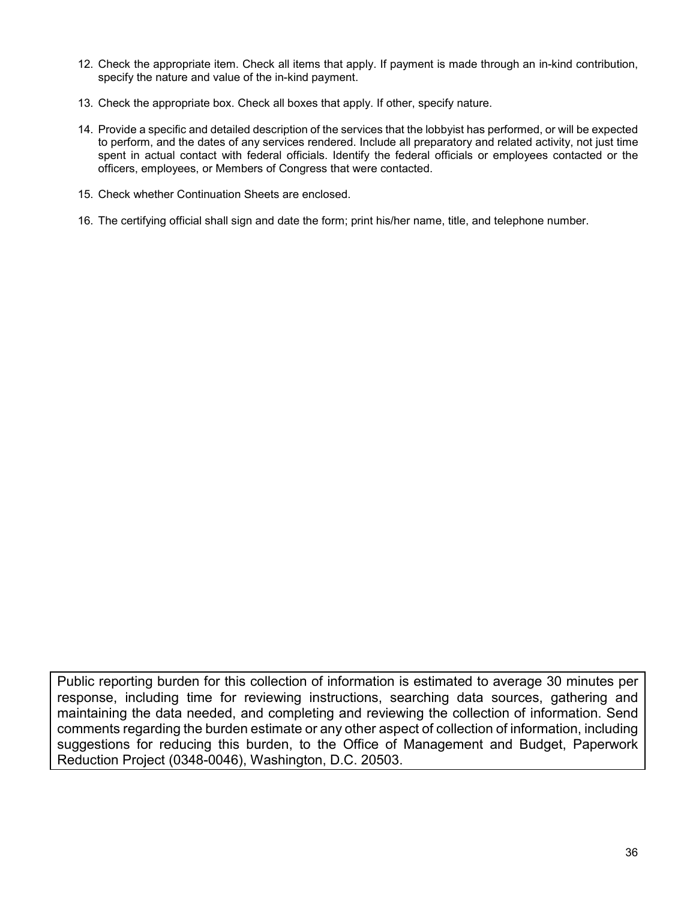- 12. Check the appropriate item. Check all items that apply. If payment is made through an in-kind contribution, specify the nature and value of the in-kind payment.
- 13. Check the appropriate box. Check all boxes that apply. If other, specify nature.
- 14. Provide a specific and detailed description of the services that the lobbyist has performed, or will be expected to perform, and the dates of any services rendered. Include all preparatory and related activity, not just time spent in actual contact with federal officials. Identify the federal officials or employees contacted or the officers, employees, or Members of Congress that were contacted.
- 15. Check whether Continuation Sheets are enclosed.
- 16. The certifying official shall sign and date the form; print his/her name, title, and telephone number.

Public reporting burden for this collection of information is estimated to average 30 minutes per response, including time for reviewing instructions, searching data sources, gathering and maintaining the data needed, and completing and reviewing the collection of information. Send comments regarding the burden estimate or any other aspect of collection of information, including suggestions for reducing this burden, to the Office of Management and Budget, Paperwork Reduction Project (0348-0046), Washington, D.C. 20503.